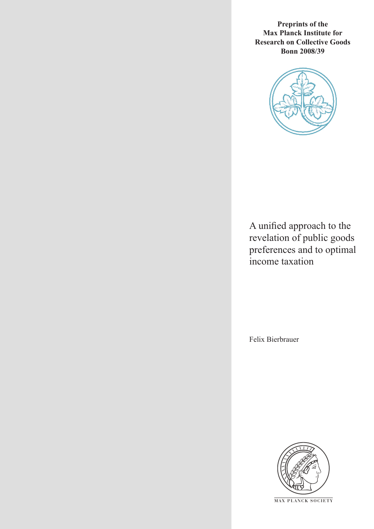**Preprints of the Max Planck Institute for Research on Collective Goods Bonn 2008/39**



A unified approach to the revelation of public goods preferences and to optimal income taxation

Felix Bierbrauer



**M AX P L A N C K S O C I E T Y**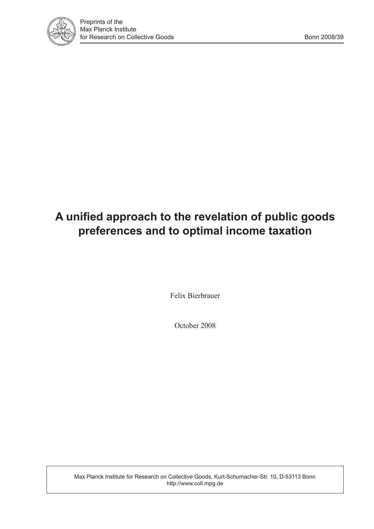

# **A unified approach to the revelation of public goods preferences and to optimal income taxation**

Felix Bierbrauer

October 2008

Max Planck Institute for Research on Collective Goods, Kurt-Schumacher-Str. 10, D-53113 Bonn http://www.coll.mpg.de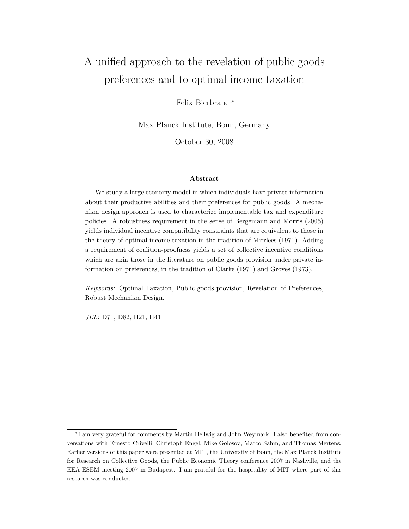## A unified approach to the revelation of public goods preferences and to optimal income taxation

Felix Bierbrauer<sup>∗</sup>

Max Planck Institute, Bonn, Germany

October 30, 2008

#### Abstract

We study a large economy model in which individuals have private information about their productive abilities and their preferences for public goods. A mechanism design approach is used to characterize implementable tax and expenditure policies. A robustness requirement in the sense of Bergemann and Morris (2005) yields individual incentive compatibility constraints that are equivalent to those in the theory of optimal income taxation in the tradition of Mirrlees (1971). Adding a requirement of coalition-proofness yields a set of collective incentive conditions which are akin those in the literature on public goods provision under private information on preferences, in the tradition of Clarke (1971) and Groves (1973).

Keywords: Optimal Taxation, Public goods provision, Revelation of Preferences, Robust Mechanism Design.

JEL: D71, D82, H21, H41

<sup>∗</sup> I am very grateful for comments by Martin Hellwig and John Weymark. I also benefited from conversations with Ernesto Crivelli, Christoph Engel, Mike Golosov, Marco Sahm, and Thomas Mertens. Earlier versions of this paper were presented at MIT, the University of Bonn, the Max Planck Institute for Research on Collective Goods, the Public Economic Theory conference 2007 in Nashville, and the EEA-ESEM meeting 2007 in Budapest. I am grateful for the hospitality of MIT where part of this research was conducted.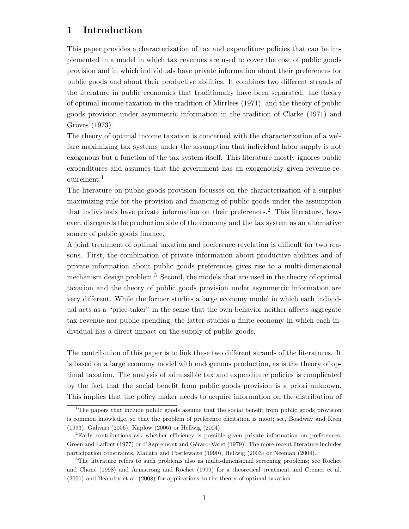## 1 Introduction

This paper provides a characterization of tax and expenditure policies that can be implemented in a model in which tax revenues are used to cover the cost of public goods provision and in which individuals have private information about their preferences for public goods and about their productive abilities. It combines two different strands of the literature in public economics that traditionally have been separated: the theory of optimal income taxation in the tradition of Mirrlees (1971), and the theory of public goods provision under asymmetric information in the tradition of Clarke (1971) and Groves (1973).

The theory of optimal income taxation is concerned with the characterization of a welfare maximizing tax systems under the assumption that individual labor supply is not exogenous but a function of the tax system itself. This literature mostly ignores public expenditures and assumes that the government has an exogenously given revenue requirement.<sup>1</sup>

The literature on public goods provision focusses on the characterization of a surplus maximizing rule for the provision and financing of public goods under the assumption that individuals have private information on their preferences.<sup>2</sup> This literature, however, disregards the production side of the economy and the tax system as an alternative source of public goods finance.

A joint treatment of optimal taxation and preference revelation is difficult for two reasons. First, the combination of private information about productive abilities and of private information about public goods preferences gives rise to a multi-dimensional mechanism design problem.<sup>3</sup> Second, the models that are used in the theory of optimal taxation and the theory of public goods provision under asymmetric information are very different. While the former studies a large economy model in which each individual acts as a "price-taker" in the sense that the own behavior neither affects aggregate tax revenue nor public spending, the latter studies a finite economy in which each individual has a direct impact on the supply of public goods.

The contribution of this paper is to link these two different strands of the literatures. It is based on a large economy model with endogenous production, as is the theory of optimal taxation. The analysis of admissible tax and expenditure policies is complicated by the fact that the social benefit from public goods provision is a priori unknown. This implies that the policy maker needs to acquire information on the distribution of

<sup>&</sup>lt;sup>1</sup>The papers that include public goods assume that the social benefit from public goods provision is common knowledge, so that the problem of preference elicitation is moot; see, Boadway and Keen (1993), Gahvari (2006), Kaplow (2006) or Hellwig (2004).

<sup>2</sup>Early contributions ask whether efficiency is possible given private information on preferences, Green and Laffont (1977) or d'Aspremont and Gérard-Varet (1979). The more recent literature includes participation constraints, Mailath and Postlewaite (1990), Hellwig (2003) or Neeman (2004).

<sup>3</sup>The literature refers to such problems also as multi-dimensional screening problems; see Rochet and Choné (1998) and Armstrong and Rochet (1999) for a theoretical treatment and Cremer et al. (2001) and Beaudry et al. (2008) for applications to the theory of optimal taxation.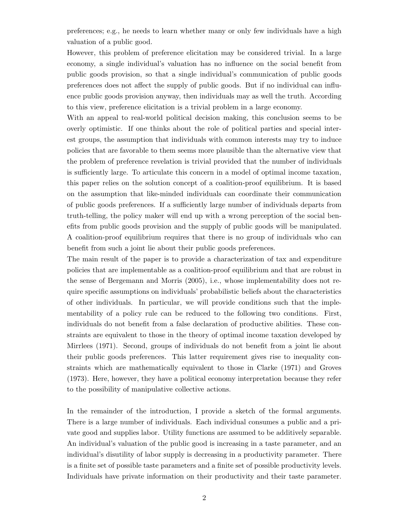preferences; e.g., he needs to learn whether many or only few individuals have a high valuation of a public good.

However, this problem of preference elicitation may be considered trivial. In a large economy, a single individual's valuation has no influence on the social benefit from public goods provision, so that a single individual's communication of public goods preferences does not affect the supply of public goods. But if no individual can influence public goods provision anyway, then individuals may as well the truth. According to this view, preference elicitation is a trivial problem in a large economy.

With an appeal to real-world political decision making, this conclusion seems to be overly optimistic. If one thinks about the role of political parties and special interest groups, the assumption that individuals with common interests may try to induce policies that are favorable to them seems more plausible than the alternative view that the problem of preference revelation is trivial provided that the number of individuals is sufficiently large. To articulate this concern in a model of optimal income taxation, this paper relies on the solution concept of a coalition-proof equilibrium. It is based on the assumption that like-minded individuals can coordinate their communication of public goods preferences. If a sufficiently large number of individuals departs from truth-telling, the policy maker will end up with a wrong perception of the social benefits from public goods provision and the supply of public goods will be manipulated. A coalition-proof equilibrium requires that there is no group of individuals who can benefit from such a joint lie about their public goods preferences.

The main result of the paper is to provide a characterization of tax and expenditure policies that are implementable as a coalition-proof equilibrium and that are robust in the sense of Bergemann and Morris (2005), i.e., whose implementability does not require specific assumptions on individuals' probabilistic beliefs about the characteristics of other individuals. In particular, we will provide conditions such that the implementability of a policy rule can be reduced to the following two conditions. First, individuals do not benefit from a false declaration of productive abilities. These constraints are equivalent to those in the theory of optimal income taxation developed by Mirrlees (1971). Second, groups of individuals do not benefit from a joint lie about their public goods preferences. This latter requirement gives rise to inequality constraints which are mathematically equivalent to those in Clarke (1971) and Groves (1973). Here, however, they have a political economy interpretation because they refer to the possibility of manipulative collective actions.

In the remainder of the introduction, I provide a sketch of the formal arguments. There is a large number of individuals. Each individual consumes a public and a private good and supplies labor. Utility functions are assumed to be additively separable. An individual's valuation of the public good is increasing in a taste parameter, and an individual's disutility of labor supply is decreasing in a productivity parameter. There is a finite set of possible taste parameters and a finite set of possible productivity levels. Individuals have private information on their productivity and their taste parameter.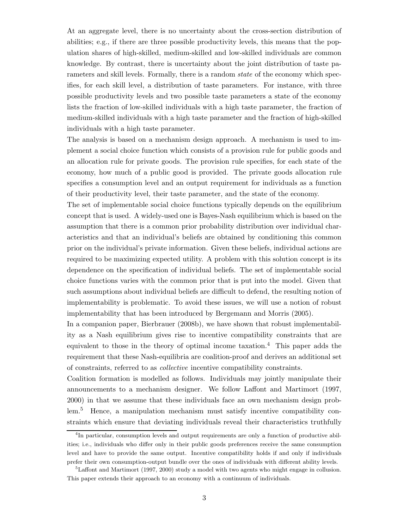At an aggregate level, there is no uncertainty about the cross-section distribution of abilities; e.g., if there are three possible productivity levels, this means that the population shares of high-skilled, medium-skilled and low-skilled individuals are common knowledge. By contrast, there is uncertainty about the joint distribution of taste parameters and skill levels. Formally, there is a random *state* of the economy which specifies, for each skill level, a distribution of taste parameters. For instance, with three possible productivity levels and two possible taste parameters a state of the economy lists the fraction of low-skilled individuals with a high taste parameter, the fraction of medium-skilled individuals with a high taste parameter and the fraction of high-skilled individuals with a high taste parameter.

The analysis is based on a mechanism design approach. A mechanism is used to implement a social choice function which consists of a provision rule for public goods and an allocation rule for private goods. The provision rule specifies, for each state of the economy, how much of a public good is provided. The private goods allocation rule specifies a consumption level and an output requirement for individuals as a function of their productivity level, their taste parameter, and the state of the economy.

The set of implementable social choice functions typically depends on the equilibrium concept that is used. A widely-used one is Bayes-Nash equilibrium which is based on the assumption that there is a common prior probability distribution over individual characteristics and that an individual's beliefs are obtained by conditioning this common prior on the individual's private information. Given these beliefs, individual actions are required to be maximizing expected utility. A problem with this solution concept is its dependence on the specification of individual beliefs. The set of implementable social choice functions varies with the common prior that is put into the model. Given that such assumptions about individual beliefs are difficult to defend, the resulting notion of implementability is problematic. To avoid these issues, we will use a notion of robust implementability that has been introduced by Bergemann and Morris (2005).

In a companion paper, Bierbrauer (2008b), we have shown that robust implementability as a Nash equilibrium gives rise to incentive compatibility constraints that are equivalent to those in the theory of optimal income taxation. <sup>4</sup> This paper adds the requirement that these Nash-equilibria are coalition-proof and derives an additional set of constraints, referred to as collective incentive compatibility constraints.

Coalition formation is modelled as follows. Individuals may jointly manipulate their announcements to a mechanism designer. We follow Laffont and Martimort (1997, 2000) in that we assume that these individuals face an own mechanism design problem.<sup>5</sup> Hence, a manipulation mechanism must satisfy incentive compatibility constraints which ensure that deviating individuals reveal their characteristics truthfully

<sup>&</sup>lt;sup>4</sup>In particular, consumption levels and output requirements are only a function of productive abilities; i.e., individuals who differ only in their public goods preferences receive the same consumption level and have to provide the same output. Incentive compatibility holds if and only if individuals prefer their own consumption-output bundle over the ones of individuals with different ability levels.

 $5$ Laffont and Martimort (1997, 2000) study a model with two agents who might engage in collusion. This paper extends their approach to an economy with a continuum of individuals.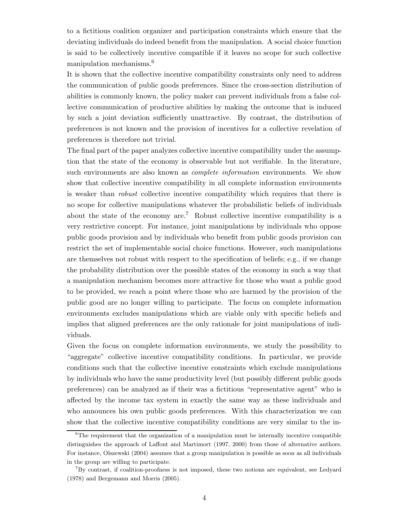to a fictitious coalition organizer and participation constraints which ensure that the deviating individuals do indeed benefit from the manipulation. A social choice function is said to be collectively incentive compatible if it leaves no scope for such collective manipulation mechanisms.<sup>6</sup>

It is shown that the collective incentive compatibility constraints only need to address the communication of public goods preferences. Since the cross-section distribution of abilities is commonly known, the policy maker can prevent individuals from a false collective communication of productive abilities by making the outcome that is induced by such a joint deviation sufficiently unattractive. By contrast, the distribution of preferences is not known and the provision of incentives for a collective revelation of preferences is therefore not trivial.

The final part of the paper analyzes collective incentive compatibility under the assumption that the state of the economy is observable but not verifiable. In the literature, such environments are also known as *complete information* environments. We show show that collective incentive compatibility in all complete information environments is weaker than robust collective incentive compatibility which requires that there is no scope for collective manipulations whatever the probabilistic beliefs of individuals about the state of the economy are.<sup>7</sup> Robust collective incentive compatibility is a very restrictive concept. For instance, joint manipulations by individuals who oppose public goods provision and by individuals who benefit from public goods provision can restrict the set of implementable social choice functions. However, such manipulations are themselves not robust with respect to the specification of beliefs; e.g., if we change the probability distribution over the possible states of the economy in such a way that a manipulation mechanism becomes more attractive for those who want a public good to be provided, we reach a point where those who are harmed by the provision of the public good are no longer willing to participate. The focus on complete information environments excludes manipulations which are viable only with specific beliefs and implies that aligned preferences are the only rationale for joint manipulations of individuals.

Given the focus on complete information environments, we study the possibility to "aggregate" collective incentive compatibility conditions. In particular, we provide conditions such that the collective incentive constraints which exclude manipulations by individuals who have the same productivity level (but possibly different public goods preferences) can be analyzed as if their was a fictitious "representative agent" who is affected by the income tax system in exactly the same way as these individuals and who announces his own public goods preferences. With this characterization we can show that the collective incentive compatibility conditions are very similar to the in-

 ${}^{6}$ The requirement that the organization of a manipulation must be internally incentive compatible distinguishes the approach of Laffont and Martimort (1997, 2000) from those of alternative authors. For instance, Olszewski (2004) assumes that a group manipulation is possible as soon as all individuals in the group are willing to participate.

<sup>7</sup>By contrast, if coalition-proofness is not imposed, these two notions are equivalent, see Ledyard (1978) and Bergemann and Morris (2005).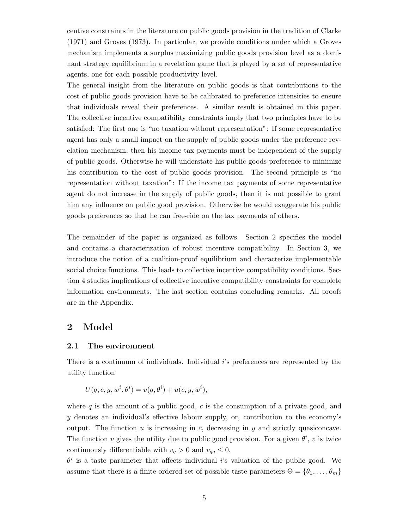centive constraints in the literature on public goods provision in the tradition of Clarke (1971) and Groves (1973). In particular, we provide conditions under which a Groves mechanism implements a surplus maximizing public goods provision level as a dominant strategy equilibrium in a revelation game that is played by a set of representative agents, one for each possible productivity level.

The general insight from the literature on public goods is that contributions to the cost of public goods provision have to be calibrated to preference intensities to ensure that individuals reveal their preferences. A similar result is obtained in this paper. The collective incentive compatibility constraints imply that two principles have to be satisfied: The first one is "no taxation without representation": If some representative agent has only a small impact on the supply of public goods under the preference revelation mechanism, then his income tax payments must be independent of the supply of public goods. Otherwise he will understate his public goods preference to minimize his contribution to the cost of public goods provision. The second principle is "no representation without taxation": If the income tax payments of some representative agent do not increase in the supply of public goods, then it is not possible to grant him any influence on public good provision. Otherwise he would exaggerate his public goods preferences so that he can free-ride on the tax payments of others.

The remainder of the paper is organized as follows. Section 2 specifies the model and contains a characterization of robust incentive compatibility. In Section 3, we introduce the notion of a coalition-proof equilibrium and characterize implementable social choice functions. This leads to collective incentive compatibility conditions. Section 4 studies implications of collective incentive compatibility constraints for complete information environments. The last section contains concluding remarks. All proofs are in the Appendix.

## 2 Model

#### 2.1 The environment

There is a continuum of individuals. Individual i's preferences are represented by the utility function

$$
U(q, c, y, w^i, \theta^i) = v(q, \theta^i) + u(c, y, w^i),
$$

where  $q$  is the amount of a public good,  $c$  is the consumption of a private good, and y denotes an individual's effective labour supply, or, contribution to the economy's output. The function  $u$  is increasing in  $c$ , decreasing in  $y$  and strictly quasiconcave. The function v gives the utility due to public good provision. For a given  $\theta^i$ , v is twice continuously differentiable with  $v_q > 0$  and  $v_{qq} \leq 0$ .

 $\theta^i$  is a taste parameter that affects individual *i*'s valuation of the public good. We assume that there is a finite ordered set of possible taste parameters  $\Theta = \{\theta_1, \ldots, \theta_m\}$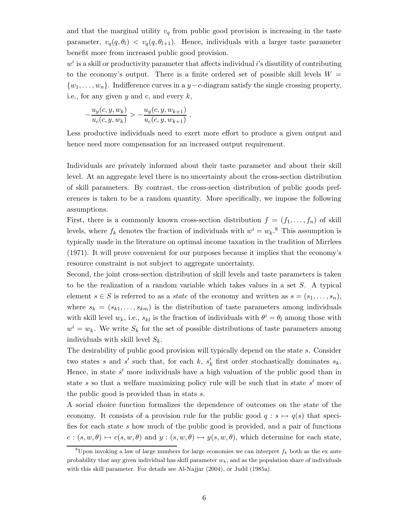and that the marginal utility  $v_q$  from public good provision is increasing in the taste parameter,  $v_q(q, \theta_l) < v_q(q, \theta_{l+1})$ . Hence, individuals with a larger taste parameter benefit more from increased public good provision.

 $w^i$  is a skill or productivity parameter that affects individual i's disutility of contributing to the economy's output. There is a finite ordered set of possible skill levels  $W =$  $\{w_1, \ldots, w_n\}$ . Indifference curves in a y-c-diagram satisfy the single crossing property, i.e., for any given  $y$  and  $c$ , and every  $k$ ,

$$
-\frac{u_y(c, y, w_k)}{u_c(c, y, w_k)} > -\frac{u_y(c, y, w_{k+1})}{u_c(c, y, w_{k+1})}.
$$

Less productive individuals need to exert more effort to produce a given output and hence need more compensation for an increased output requirement.

Individuals are privately informed about their taste parameter and about their skill level. At an aggregate level there is no uncertainty about the cross-section distribution of skill parameters. By contrast, the cross-section distribution of public goods preferences is taken to be a random quantity. More specifically, we impose the following assumptions.

First, there is a commonly known cross-section distribution  $f = (f_1, \ldots, f_n)$  of skill levels, where  $f_k$  denotes the fraction of individuals with  $w^i = w_k$ .<sup>8</sup> This assumption is typically made in the literature on optimal income taxation in the tradition of Mirrlees (1971). It will prove convenient for our purposes because it implies that the economy's resource constraint is not subject to aggregate uncertainty.

Second, the joint cross-section distribution of skill levels and taste parameters is taken to be the realization of a random variable which takes values in a set S. A typical element  $s \in S$  is referred to as a *state* of the economy and written as  $s = (s_1, \ldots, s_n)$ , where  $s_k = (s_{k1}, \ldots, s_{km})$  is the distribution of taste parameters among individuals with skill level  $w_k$ , i.e.,  $s_{kl}$  is the fraction of individuals with  $\theta^i = \theta_l$  among those with  $w^i = w_k$ . We write  $S_k$  for the set of possible distributions of taste parameters among individuals with skill level  $S_k$ .

The desirability of public good provision will typically depend on the state s. Consider two states s and s' such that, for each k,  $s'_k$  first order stochastically dominates  $s_k$ . Hence, in state s' more individuals have a high valuation of the public good than in state s so that a welfare maximizing policy rule will be such that in state s' more of the public good is provided than in stats s.

A social choice function formalizes the dependence of outcomes on the state of the economy. It consists of a provision rule for the public good  $q : s \mapsto q(s)$  that specifies for each state s how much of the public good is provided, and a pair of functions  $c : (s, w, \theta) \mapsto c(s, w, \theta)$  and  $y : (s, w, \theta) \mapsto y(s, w, \theta)$ , which determine for each state,

<sup>&</sup>lt;sup>8</sup>Upon invoking a law of large numbers for large economies we can interpret  $f_k$  both as the ex ante probability that any given individual has skill parameter  $w_k$ , and as the population share of individuals with this skill parameter. For details see Al-Najjar (2004), or Judd (1985a).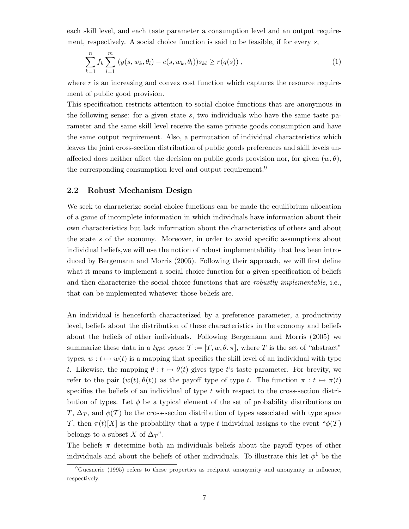each skill level, and each taste parameter a consumption level and an output requirement, respectively. A social choice function is said to be feasible, if for every s,

$$
\sum_{k=1}^{n} f_k \sum_{l=1}^{m} (y(s, w_k, \theta_l) - c(s, w_k, \theta_l)) s_{kl} \ge r(q(s)),
$$
\n(1)

where  $r$  is an increasing and convex cost function which captures the resource requirement of public good provision.

This specification restricts attention to social choice functions that are anonymous in the following sense: for a given state s, two individuals who have the same taste parameter and the same skill level receive the same private goods consumption and have the same output requirement. Also, a permutation of individual characteristics which leaves the joint cross-section distribution of public goods preferences and skill levels unaffected does neither affect the decision on public goods provision nor, for given  $(w, \theta)$ , the corresponding consumption level and output requirement.<sup>9</sup>

#### 2.2 Robust Mechanism Design

We seek to characterize social choice functions can be made the equilibrium allocation of a game of incomplete information in which individuals have information about their own characteristics but lack information about the characteristics of others and about the state s of the economy. Moreover, in order to avoid specific assumptions about individual beliefs,we will use the notion of robust implementability that has been introduced by Bergemann and Morris (2005). Following their approach, we will first define what it means to implement a social choice function for a given specification of beliefs and then characterize the social choice functions that are *robustly implementable*, i.e., that can be implemented whatever those beliefs are.

An individual is henceforth characterized by a preference parameter, a productivity level, beliefs about the distribution of these characteristics in the economy and beliefs about the beliefs of other individuals. Following Bergemann and Morris (2005) we summarize these data in a type space  $\mathcal{T} := [T, w, \theta, \pi]$ , where T is the set of "abstract" types,  $w : t \mapsto w(t)$  is a mapping that specifies the skill level of an individual with type t. Likewise, the mapping  $\theta : t \mapsto \theta(t)$  gives type t's taste parameter. For brevity, we refer to the pair  $(w(t), \theta(t))$  as the payoff type of type t. The function  $\pi : t \mapsto \pi(t)$ specifies the beliefs of an individual of type  $t$  with respect to the cross-section distribution of types. Let  $\phi$  be a typical element of the set of probability distributions on T,  $\Delta_T$ , and  $\phi(T)$  be the cross-section distribution of types associated with type space T, then  $\pi(t)[X]$  is the probability that a type t individual assigns to the event " $\phi(\mathcal{T})$ " belongs to a subset X of  $\Delta_T$ ".

The beliefs  $\pi$  determine both an individuals beliefs about the payoff types of other individuals and about the beliefs of other individuals. To illustrate this let  $\phi^1$  be the

<sup>&</sup>lt;sup>9</sup>Guesnerie (1995) refers to these properties as recipient anonymity and anonymity in influence, respectively.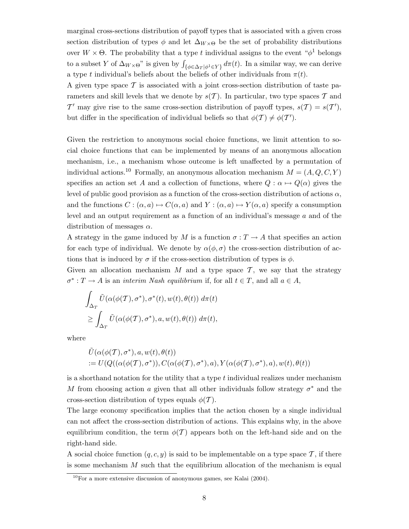marginal cross-sections distribution of payoff types that is associated with a given cross section distribution of types  $\phi$  and let  $\Delta_{W\times\Theta}$  be the set of probability distributions over  $W \times \Theta$ . The probability that a type t individual assigns to the event " $\phi^1$  belongs to a subset Y of  $\Delta_{W\times\Theta}$ " is given by  $\int_{\{\phi\in\Delta_T|\phi^1\in Y\}} d\pi(t)$ . In a similar way, we can derive a type t individual's beliefs about the beliefs of other individuals from  $\pi(t)$ .

A given type space  $\mathcal T$  is associated with a joint cross-section distribution of taste parameters and skill levels that we denote by  $s(\mathcal{T})$ . In particular, two type spaces  $\mathcal T$  and T' may give rise to the same cross-section distribution of payoff types,  $s(\mathcal{T}) = s(\mathcal{T}')$ , but differ in the specification of individual beliefs so that  $\phi(\mathcal{T}) \neq \phi(\mathcal{T}')$ .

Given the restriction to anonymous social choice functions, we limit attention to social choice functions that can be implemented by means of an anonymous allocation mechanism, i.e., a mechanism whose outcome is left unaffected by a permutation of individual actions.<sup>10</sup> Formally, an anonymous allocation mechanism  $M = (A, Q, C, Y)$ specifies an action set A and a collection of functions, where  $Q : \alpha \mapsto Q(\alpha)$  gives the level of public good provision as a function of the cross-section distribution of actions  $\alpha$ , and the functions  $C : (\alpha, a) \mapsto C(\alpha, a)$  and  $Y : (\alpha, a) \mapsto Y(\alpha, a)$  specify a consumption level and an output requirement as a function of an individual's message a and of the distribution of messages  $\alpha$ .

A strategy in the game induced by M is a function  $\sigma: T \to A$  that specifies an action for each type of individual. We denote by  $\alpha(\phi, \sigma)$  the cross-section distribution of actions that is induced by  $\sigma$  if the cross-section distribution of types is  $\phi$ .

Given an allocation mechanism  $M$  and a type space  $\mathcal{T}$ , we say that the strategy  $\sigma^*: T \to A$  is an *interim Nash equilibrium* if, for all  $t \in T$ , and all  $a \in A$ ,

$$
\int_{\Delta_T} \tilde{U}(\alpha(\phi(T), \sigma^*), \sigma^*(t), w(t), \theta(t)) d\pi(t)
$$
  
\n
$$
\geq \int_{\Delta_T} \tilde{U}(\alpha(\phi(T), \sigma^*), a, w(t), \theta(t)) d\pi(t),
$$

where

$$
\begin{aligned} &\tilde{U}(\alpha(\phi(\mathcal{T}),\sigma^*),a,w(t),\theta(t)) \\ &:=U(Q((\alpha(\phi(\mathcal{T}),\sigma^*)),C(\alpha(\phi(\mathcal{T}),\sigma^*),a),Y(\alpha(\phi(\mathcal{T}),\sigma^*),a),w(t),\theta(t)) \end{aligned}
$$

is a shorthand notation for the utility that a type t individual realizes under mechanism M from choosing action a given that all other individuals follow strategy  $\sigma^*$  and the cross-section distribution of types equals  $\phi(\mathcal{T})$ .

The large economy specification implies that the action chosen by a single individual can not affect the cross-section distribution of actions. This explains why, in the above equilibrium condition, the term  $\phi(\mathcal{T})$  appears both on the left-hand side and on the right-hand side.

A social choice function  $(q, c, y)$  is said to be implementable on a type space  $\mathcal{T}$ , if there is some mechanism M such that the equilibrium allocation of the mechanism is equal

 $10$ For a more extensive discussion of anonymous games, see Kalai (2004).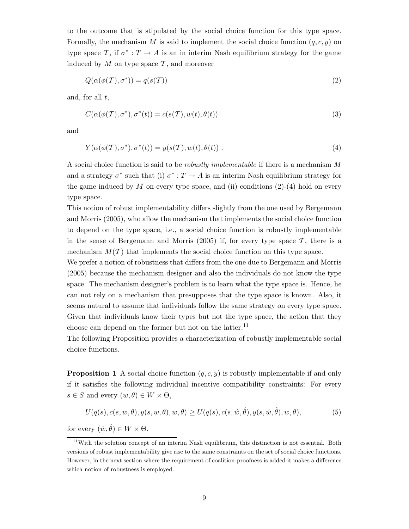to the outcome that is stipulated by the social choice function for this type space. Formally, the mechanism M is said to implement the social choice function  $(q, c, y)$  on type space T, if  $\sigma^*: T \to A$  is an in interim Nash equilibrium strategy for the game induced by  $M$  on type space  $\mathcal{T}$ , and moreover

$$
Q(\alpha(\phi(\mathcal{T}), \sigma^*)) = q(s(\mathcal{T}))
$$
\n(2)

and, for all  $t$ ,

$$
C(\alpha(\phi(\mathcal{T}), \sigma^*), \sigma^*(t)) = c(s(\mathcal{T}), w(t), \theta(t))
$$
\n(3)

and

$$
Y(\alpha(\phi(\mathcal{T}), \sigma^*), \sigma^*(t)) = y(s(\mathcal{T}), w(t), \theta(t)) .
$$
\n(4)

A social choice function is said to be robustly implementable if there is a mechanism M and a strategy  $\sigma^*$  such that (i)  $\sigma^*: T \to A$  is an interim Nash equilibrium strategy for the game induced by  $M$  on every type space, and (ii) conditions (2)-(4) hold on every type space.

This notion of robust implementability differs slightly from the one used by Bergemann and Morris (2005), who allow the mechanism that implements the social choice function to depend on the type space, i.e., a social choice function is robustly implementable in the sense of Bergemann and Morris (2005) if, for every type space  $\mathcal{T}$ , there is a mechanism  $M(\mathcal{T})$  that implements the social choice function on this type space.

We prefer a notion of robustness that differs from the one due to Bergemann and Morris (2005) because the mechanism designer and also the individuals do not know the type space. The mechanism designer's problem is to learn what the type space is. Hence, he can not rely on a mechanism that presupposes that the type space is known. Also, it seems natural to assume that individuals follow the same strategy on every type space. Given that individuals know their types but not the type space, the action that they choose can depend on the former but not on the latter.<sup>11</sup>

The following Proposition provides a characterization of robustly implementable social choice functions.

**Proposition 1** A social choice function  $(q, c, y)$  is robustly implementable if and only if it satisfies the following individual incentive compatibility constraints: For every  $s \in S$  and every  $(w, \theta) \in W \times \Theta$ ,

$$
U(q(s), c(s, w, \theta), y(s, w, \theta), w, \theta) \ge U(q(s), c(s, \hat{w}, \hat{\theta}), y(s, \hat{w}, \hat{\theta}), w, \theta),
$$
\n
$$
(5)
$$

for every  $(\hat{w}, \hat{\theta}) \in W \times \Theta$ .

<sup>&</sup>lt;sup>11</sup>With the solution concept of an interim Nash equilibrium, this distinction is not essential. Both versions of robust implementability give rise to the same constraints on the set of social choice functions. However, in the next section where the requirement of coalition-proofness is added it makes a difference which notion of robustness is employed.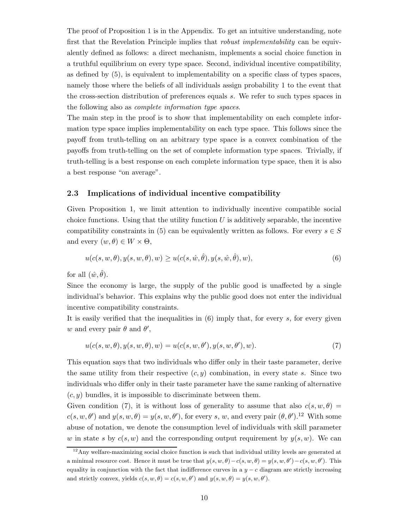The proof of Proposition 1 is in the Appendix. To get an intuitive understanding, note first that the Revelation Principle implies that *robust implementability* can be equivalently defined as follows: a direct mechanism, implements a social choice function in a truthful equilibrium on every type space. Second, individual incentive compatibility, as defined by (5), is equivalent to implementability on a specific class of types spaces, namely those where the beliefs of all individuals assign probability 1 to the event that the cross-section distribution of preferences equals s. We refer to such types spaces in the following also as complete information type spaces.

The main step in the proof is to show that implementability on each complete information type space implies implementability on each type space. This follows since the payoff from truth-telling on an arbitrary type space is a convex combination of the payoffs from truth-telling on the set of complete information type spaces. Trivially, if truth-telling is a best response on each complete information type space, then it is also a best response "on average".

#### 2.3 Implications of individual incentive compatibility

Given Proposition 1, we limit attention to individually incentive compatible social choice functions. Using that the utility function  $U$  is additively separable, the incentive compatibility constraints in (5) can be equivalently written as follows. For every  $s \in S$ and every  $(w, \theta) \in W \times \Theta$ ,

$$
u(c(s, w, \theta), y(s, w, \theta), w) \ge u(c(s, \hat{w}, \hat{\theta}), y(s, \hat{w}, \hat{\theta}), w),
$$
\n
$$
(6)
$$

for all  $(\hat{w}, \hat{\theta})$ .

Since the economy is large, the supply of the public good is unaffected by a single individual's behavior. This explains why the public good does not enter the individual incentive compatibility constraints.

It is easily verified that the inequalities in (6) imply that, for every s, for every given w and every pair  $\theta$  and  $\theta'$ ,

$$
u(c(s, w, \theta), y(s, w, \theta), w) = u(c(s, w, \theta'), y(s, w, \theta'), w).
$$
\n(7)

This equation says that two individuals who differ only in their taste parameter, derive the same utility from their respective  $(c, y)$  combination, in every state s. Since two individuals who differ only in their taste parameter have the same ranking of alternative  $(c, y)$  bundles, it is impossible to discriminate between them.

Given condition (7), it is without loss of generality to assume that also  $c(s, w, \theta) =$  $c(s, w, \theta')$  and  $y(s, w, \theta) = y(s, w, \theta')$ , for every s, w, and every pair  $(\theta, \theta')$ .<sup>12</sup> With some abuse of notation, we denote the consumption level of individuals with skill parameter w in state s by  $c(s, w)$  and the corresponding output requirement by  $y(s, w)$ . We can

 $12$ Any welfare-maximizing social choice function is such that individual utility levels are generated at a minimal resource cost. Hence it must be true that  $y(s, w, \theta) - c(s, w, \theta) = y(s, w, \theta') - c(s, w, \theta')$ . This equality in conjunction with the fact that indifference curves in a  $y - c$  diagram are strictly increasing and strictly convex, yields  $c(s, w, \theta) = c(s, w, \theta')$  and  $y(s, w, \theta) = y(s, w, \theta')$ .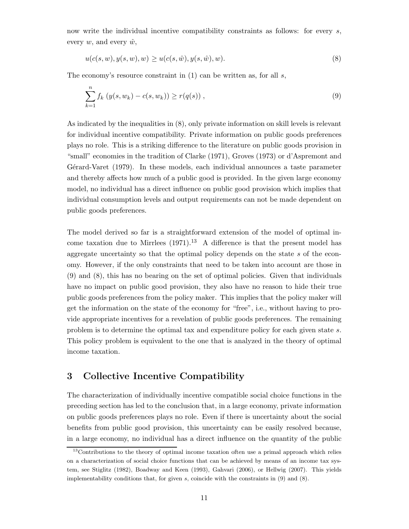now write the individual incentive compatibility constraints as follows: for every s, every  $w$ , and every  $\hat{w}$ ,

$$
u(c(s, w), y(s, w), w) \ge u(c(s, \hat{w}), y(s, \hat{w}), w).
$$
\n(8)

The economy's resource constraint in  $(1)$  can be written as, for all s,

$$
\sum_{k=1}^{n} f_k (y(s, w_k) - c(s, w_k)) \ge r(q(s)),
$$
\n(9)

As indicated by the inequalities in (8), only private information on skill levels is relevant for individual incentive compatibility. Private information on public goods preferences plays no role. This is a striking difference to the literature on public goods provision in "small" economies in the tradition of Clarke (1971), Groves (1973) or d'Aspremont and Gérard-Varet (1979). In these models, each individual announces a taste parameter and thereby affects how much of a public good is provided. In the given large economy model, no individual has a direct influence on public good provision which implies that individual consumption levels and output requirements can not be made dependent on public goods preferences.

The model derived so far is a straightforward extension of the model of optimal income taxation due to Mirrlees  $(1971)^{13}$  A difference is that the present model has aggregate uncertainty so that the optimal policy depends on the state s of the economy. However, if the only constraints that need to be taken into account are those in (9) and (8), this has no bearing on the set of optimal policies. Given that individuals have no impact on public good provision, they also have no reason to hide their true public goods preferences from the policy maker. This implies that the policy maker will get the information on the state of the economy for "free", i.e., without having to provide appropriate incentives for a revelation of public goods preferences. The remaining problem is to determine the optimal tax and expenditure policy for each given state s. This policy problem is equivalent to the one that is analyzed in the theory of optimal income taxation.

## 3 Collective Incentive Compatibility

The characterization of individually incentive compatible social choice functions in the preceding section has led to the conclusion that, in a large economy, private information on public goods preferences plays no role. Even if there is uncertainty about the social benefits from public good provision, this uncertainty can be easily resolved because, in a large economy, no individual has a direct influence on the quantity of the public

<sup>&</sup>lt;sup>13</sup> Contributions to the theory of optimal income taxation often use a primal approach which relies on a characterization of social choice functions that can be achieved by means of an income tax system, see Stiglitz (1982), Boadway and Keen (1993), Gahvari (2006), or Hellwig (2007). This yields implementability conditions that, for given s, coincide with the constraints in  $(9)$  and  $(8)$ .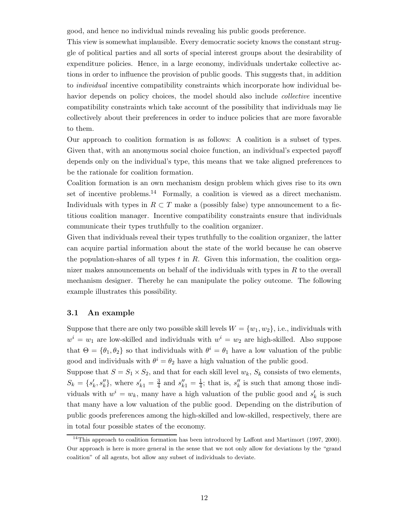good, and hence no individual minds revealing his public goods preference.

This view is somewhat implausible. Every democratic society knows the constant struggle of political parties and all sorts of special interest groups about the desirability of expenditure policies. Hence, in a large economy, individuals undertake collective actions in order to influence the provision of public goods. This suggests that, in addition to individual incentive compatibility constraints which incorporate how individual behavior depends on policy choices, the model should also include *collective* incentive compatibility constraints which take account of the possibility that individuals may lie collectively about their preferences in order to induce policies that are more favorable to them.

Our approach to coalition formation is as follows: A coalition is a subset of types. Given that, with an anonymous social choice function, an individual's expected payoff depends only on the individual's type, this means that we take aligned preferences to be the rationale for coalition formation.

Coalition formation is an own mechanism design problem which gives rise to its own set of incentive problems.<sup>14</sup> Formally, a coalition is viewed as a direct mechanism. Individuals with types in  $R \subset T$  make a (possibly false) type announcement to a fictitious coalition manager. Incentive compatibility constraints ensure that individuals communicate their types truthfully to the coalition organizer.

Given that individuals reveal their types truthfully to the coalition organizer, the latter can acquire partial information about the state of the world because he can observe the population-shares of all types  $t$  in  $R$ . Given this information, the coalition organizer makes announcements on behalf of the individuals with types in R to the overall mechanism designer. Thereby he can manipulate the policy outcome. The following example illustrates this possibility.

#### 3.1 An example

Suppose that there are only two possible skill levels  $W = \{w_1, w_2\}$ , i.e., individuals with  $w^i = w_1$  are low-skilled and individuals with  $w^i = w_2$  are high-skilled. Also suppose that  $\Theta = {\theta_1, \theta_2}$  so that individuals with  $\theta^i = \theta_1$  have a low valuation of the public good and individuals with  $\theta^i = \theta_2$  have a high valuation of the public good.

Suppose that  $S = S_1 \times S_2$ , and that for each skill level  $w_k$ ,  $S_k$  consists of two elements,  $S_k = \{s'_k, s''_k\}$ , where  $s'_{k1} = \frac{3}{4}$  and  $s''_{k1} = \frac{1}{4}$ ; that is,  $s''_k$  is such that among those individuals with  $w^i = w_k$ , many have a high valuation of the public good and  $s'_k$  is such that many have a low valuation of the public good. Depending on the distribution of public goods preferences among the high-skilled and low-skilled, respectively, there are in total four possible states of the economy.

<sup>&</sup>lt;sup>14</sup>This approach to coalition formation has been introduced by Laffont and Martimort (1997, 2000). Our approach is here is more general in the sense that we not only allow for deviations by the "grand coalition" of all agents, bot allow any subset of individuals to deviate.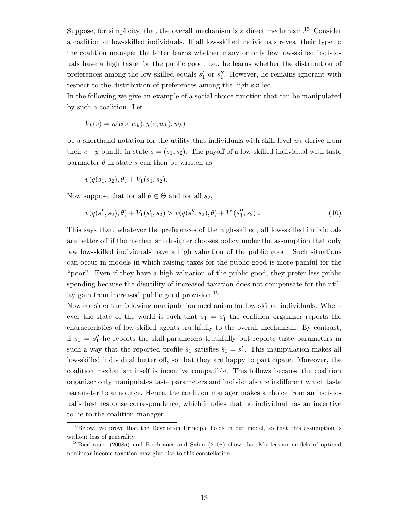Suppose, for simplicity, that the overall mechanism is a direct mechanism.<sup>15</sup> Consider a coalition of low-skilled individuals. If all low-skilled individuals reveal their type to the coalition manager the latter learns whether many or only few low-skilled individuals have a high taste for the public good, i.e., he learns whether the distribution of preferences among the low-skilled equals  $s'_1$  or  $s''_1$ . However, he remains ignorant with respect to the distribution of preferences among the high-skilled.

In the following we give an example of a social choice function that can be manipulated by such a coalition. Let

$$
V_k(s) = u(c(s, w_k), y(s, w_k), w_k)
$$

be a shorthand notation for the utility that individuals with skill level  $w_k$  derive from their  $c-y$  bundle in state  $s = (s_1, s_2)$ . The payoff of a low-skilled individual with taste parameter  $\theta$  in state s can then be written as

$$
v(q(s_1, s_2), \theta) + V_1(s_1, s_2).
$$

Now suppose that for all  $\theta \in \Theta$  and for all  $s_2$ ,

$$
v(q(s'_1, s_2), \theta) + V_1(s'_1, s_2) > v(q(s''_1, s_2), \theta) + V_1(s''_1, s_2).
$$
\n
$$
(10)
$$

This says that, whatever the preferences of the high-skilled, all low-skilled individuals are better off if the mechanism designer chooses policy under the assumption that only few low-skilled individuals have a high valuation of the public good. Such situations can occur in models in which raising taxes for the public good is more painful for the "poor". Even if they have a high valuation of the public good, they prefer less public spending because the disutility of increased taxation does not compensate for the utility gain from increased public good provision.<sup>16</sup>

Now consider the following manipulation mechanism for low-skilled individuals. Whenever the state of the world is such that  $s_1 = s'_1$  the coalition organizer reports the characteristics of low-skilled agents truthfully to the overall mechanism. By contrast, if  $s_1 = s_1''$  he reports the skill-parameters truthfully but reports taste parameters in such a way that the reported profile  $\hat{s}_1$  satisfies  $\hat{s}_1 = s'_1$ . This manipulation makes all low-skilled individual better off, so that they are happy to participate. Moreover, the coalition mechanism itself is incentive compatible. This follows because the coalition organizer only manipulates taste parameters and individuals are indifferent which taste parameter to announce. Hence, the coalition manager makes a choice from an individual's best response correspondence, which implies that no individual has an incentive to lie to the coalition manager.

<sup>&</sup>lt;sup>15</sup>Below, we prove that the Revelation Principle holds in our model, so that this assumption is without loss of generality.

 $^{16}$ Bierbrauer (2008a) and Bierbrauer and Sahm (2008) show that Mirrleesian models of optimal nonlinear income taxation may give rise to this constellation.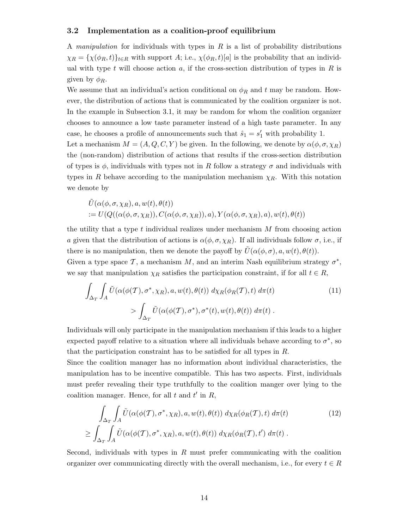#### 3.2 Implementation as a coalition-proof equilibrium

A manipulation for individuals with types in  $R$  is a list of probability distributions  $\chi_R = {\chi(\phi_R, t)}_{t \in R}$  with support A; i.e.,  $\chi(\phi_R, t)[a]$  is the probability that an individual with type t will choose action a, if the cross-section distribution of types in  $R$  is given by  $\phi_R$ .

We assume that an individual's action conditional on  $\phi_R$  and t may be random. However, the distribution of actions that is communicated by the coalition organizer is not. In the example in Subsection 3.1, it may be random for whom the coalition organizer chooses to announce a low taste parameter instead of a high taste parameter. In any case, he chooses a profile of announcements such that  $\hat{s}_1 = s'_1$  with probability 1.

Let a mechanism  $M = (A, Q, C, Y)$  be given. In the following, we denote by  $\alpha(\phi, \sigma, \chi_R)$ the (non-random) distribution of actions that results if the cross-section distribution of types is  $\phi$ , individuals with types not in R follow a strategy  $\sigma$  and individuals with types in R behave according to the manipulation mechanism  $\chi_R$ . With this notation we denote by

$$
\tilde{U}(\alpha(\phi, \sigma, \chi_R), a, w(t), \theta(t)) = U(Q((\alpha(\phi, \sigma, \chi_R)), C(\alpha(\phi, \sigma, \chi_R)), a), Y(\alpha(\phi, \sigma, \chi_R), a), w(t), \theta(t))
$$

the utility that a type  $t$  individual realizes under mechanism  $M$  from choosing action a given that the distribution of actions is  $\alpha(\phi, \sigma, \chi_R)$ . If all individuals follow  $\sigma$ , i.e., if there is no manipulation, then we denote the payoff by  $\hat{U}(\alpha(\phi,\sigma),a,w(t),\theta(t)).$ Given a type space  $\mathcal{T}$ , a mechanism  $M$ , and an interim Nash equilibrium strategy  $\sigma^*$ ,

we say that manipulation  $\chi_R$  satisfies the participation constraint, if for all  $t \in R$ ,

$$
\int_{\Delta_T} \int_A \tilde{U}(\alpha(\phi(\mathcal{T}), \sigma^*, \chi_R), a, w(t), \theta(t)) d\chi_R(\phi_R(\mathcal{T}), t) d\pi(t)
$$
\n
$$
> \int_{\Delta_T} \tilde{U}(\alpha(\phi(\mathcal{T}), \sigma^*), \sigma^*(t), w(t), \theta(t)) d\pi(t).
$$
\n
$$
(11)
$$

Individuals will only participate in the manipulation mechanism if this leads to a higher expected payoff relative to a situation where all individuals behave according to  $\sigma^*$ , so that the participation constraint has to be satisfied for all types in R.

Since the coalition manager has no information about individual characteristics, the manipulation has to be incentive compatible. This has two aspects. First, individuals must prefer revealing their type truthfully to the coalition manger over lying to the coalition manager. Hence, for all  $t$  and  $t'$  in  $R$ ,

$$
\int_{\Delta_T} \int_A \tilde{U}(\alpha(\phi(T), \sigma^*, \chi_R), a, w(t), \theta(t)) d\chi_R(\phi_R(T), t) d\pi(t)
$$
\n
$$
\geq \int_{\Delta_T} \int_A \tilde{U}(\alpha(\phi(T), \sigma^*, \chi_R), a, w(t), \theta(t)) d\chi_R(\phi_R(T), t') d\pi(t).
$$
\n(12)

Second, individuals with types in  $R$  must prefer communicating with the coalition organizer over communicating directly with the overall mechanism, i.e., for every  $t \in R$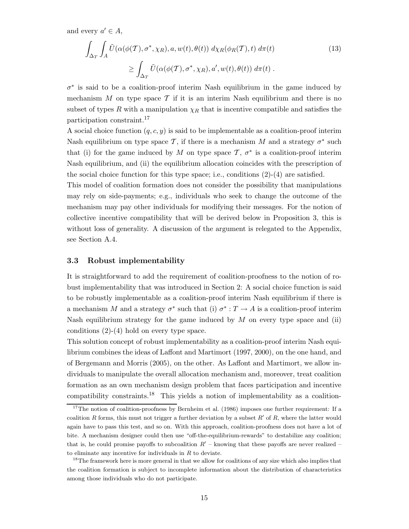and every  $a' \in A$ ,

$$
\int_{\Delta_T} \int_A \tilde{U}(\alpha(\phi(T), \sigma^*, \chi_R), a, w(t), \theta(t)) d\chi_R(\phi_R(T), t) d\pi(t)
$$
\n
$$
\geq \int_{\Delta_T} \tilde{U}(\alpha(\phi(T), \sigma^*, \chi_R), a', w(t), \theta(t)) d\pi(t).
$$
\n(13)

 $\sigma^*$  is said to be a coalition-proof interim Nash equilibrium in the game induced by mechanism  $M$  on type space  $\mathcal T$  if it is an interim Nash equilibrium and there is no subset of types R with a manipulation  $\chi_R$  that is incentive compatible and satisfies the participation constraint.<sup>17</sup>

A social choice function  $(q, c, y)$  is said to be implementable as a coalition-proof interim Nash equilibrium on type space T, if there is a mechanism M and a strategy  $\sigma^*$  such that (i) for the game induced by M on type space  $\mathcal{T}, \sigma^*$  is a coalition-proof interim Nash equilibrium, and (ii) the equilibrium allocation coincides with the prescription of the social choice function for this type space; i.e., conditions  $(2)-(4)$  are satisfied.

This model of coalition formation does not consider the possibility that manipulations may rely on side-payments; e.g., individuals who seek to change the outcome of the mechanism may pay other individuals for modifying their messages. For the notion of collective incentive compatibility that will be derived below in Proposition 3, this is without loss of generality. A discussion of the argument is relegated to the Appendix, see Section A.4.

#### 3.3 Robust implementability

It is straightforward to add the requirement of coalition-proofness to the notion of robust implementability that was introduced in Section 2: A social choice function is said to be robustly implementable as a coalition-proof interim Nash equilibrium if there is a mechanism M and a strategy  $\sigma^*$  such that (i)  $\sigma^*: T \to A$  is a coalition-proof interim Nash equilibrium strategy for the game induced by  $M$  on every type space and (ii) conditions (2)-(4) hold on every type space.

This solution concept of robust implementability as a coalition-proof interim Nash equilibrium combines the ideas of Laffont and Martimort (1997, 2000), on the one hand, and of Bergemann and Morris (2005), on the other. As Laffont and Martimort, we allow individuals to manipulate the overall allocation mechanism and, moreover, treat coalition formation as an own mechanism design problem that faces participation and incentive compatibility constraints.<sup>18</sup> This yields a notion of implementability as a coalition-

<sup>&</sup>lt;sup>17</sup>The notion of coalition-proofness by Bernheim et al. (1986) imposes one further requirement: If a coalition R forms, this must not trigger a further deviation by a subset  $R'$  of R, where the latter would again have to pass this test, and so on. With this approach, coalition-proofness does not have a lot of bite. A mechanism designer could then use "off-the-equilibrium-rewards" to destabilize any coalition; that is, he could promise payoffs to subcoalition  $R'$  – knowing that these payoffs are never realized – to eliminate any incentive for individuals in  $R$  to deviate.

<sup>&</sup>lt;sup>18</sup>The framework here is more general in that we allow for coalitions of any size which also implies that the coalition formation is subject to incomplete information about the distribution of characteristics among those individuals who do not participate.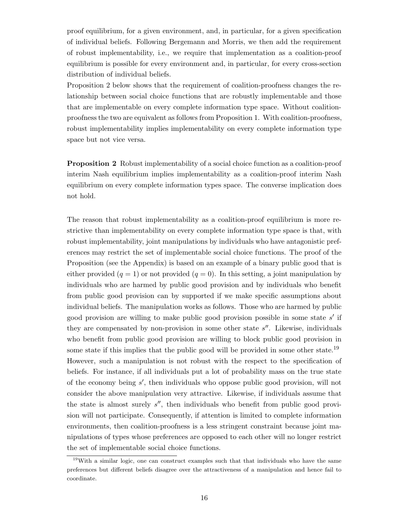proof equilibrium, for a given environment, and, in particular, for a given specification of individual beliefs. Following Bergemann and Morris, we then add the requirement of robust implementability, i.e., we require that implementation as a coalition-proof equilibrium is possible for every environment and, in particular, for every cross-section distribution of individual beliefs.

Proposition 2 below shows that the requirement of coalition-proofness changes the relationship between social choice functions that are robustly implementable and those that are implementable on every complete information type space. Without coalitionproofness the two are equivalent as follows from Proposition 1. With coalition-proofness, robust implementability implies implementability on every complete information type space but not vice versa.

Proposition 2 Robust implementability of a social choice function as a coalition-proof interim Nash equilibrium implies implementability as a coalition-proof interim Nash equilibrium on every complete information types space. The converse implication does not hold.

The reason that robust implementability as a coalition-proof equilibrium is more restrictive than implementability on every complete information type space is that, with robust implementability, joint manipulations by individuals who have antagonistic preferences may restrict the set of implementable social choice functions. The proof of the Proposition (see the Appendix) is based on an example of a binary public good that is either provided  $(q = 1)$  or not provided  $(q = 0)$ . In this setting, a joint manipulation by individuals who are harmed by public good provision and by individuals who benefit from public good provision can by supported if we make specific assumptions about individual beliefs. The manipulation works as follows. Those who are harmed by public good provision are willing to make public good provision possible in some state s' if they are compensated by non-provision in some other state s''. Likewise, individuals who benefit from public good provision are willing to block public good provision in some state if this implies that the public good will be provided in some other state.<sup>19</sup> However, such a manipulation is not robust with the respect to the specification of beliefs. For instance, if all individuals put a lot of probability mass on the true state of the economy being s ′ , then individuals who oppose public good provision, will not consider the above manipulation very attractive. Likewise, if individuals assume that the state is almost surely  $s''$ , then individuals who benefit from public good provision will not participate. Consequently, if attention is limited to complete information environments, then coalition-proofness is a less stringent constraint because joint manipulations of types whose preferences are opposed to each other will no longer restrict the set of implementable social choice functions.

 $19$ With a similar logic, one can construct examples such that that individuals who have the same preferences but different beliefs disagree over the attractiveness of a manipulation and hence fail to coordinate.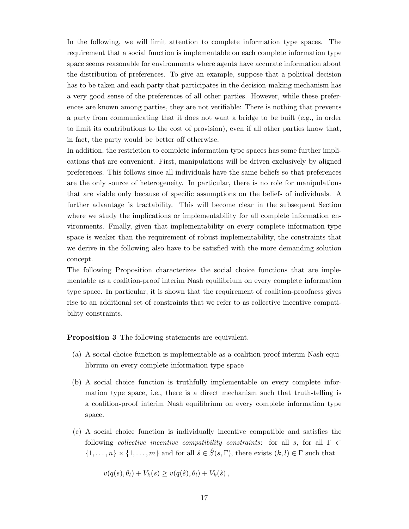In the following, we will limit attention to complete information type spaces. The requirement that a social function is implementable on each complete information type space seems reasonable for environments where agents have accurate information about the distribution of preferences. To give an example, suppose that a political decision has to be taken and each party that participates in the decision-making mechanism has a very good sense of the preferences of all other parties. However, while these preferences are known among parties, they are not verifiable: There is nothing that prevents a party from communicating that it does not want a bridge to be built (e.g., in order to limit its contributions to the cost of provision), even if all other parties know that, in fact, the party would be better off otherwise.

In addition, the restriction to complete information type spaces has some further implications that are convenient. First, manipulations will be driven exclusively by aligned preferences. This follows since all individuals have the same beliefs so that preferences are the only source of heterogeneity. In particular, there is no role for manipulations that are viable only because of specific assumptions on the beliefs of individuals. A further advantage is tractability. This will become clear in the subsequent Section where we study the implications or implementability for all complete information environments. Finally, given that implementability on every complete information type space is weaker than the requirement of robust implementability, the constraints that we derive in the following also have to be satisfied with the more demanding solution concept.

The following Proposition characterizes the social choice functions that are implementable as a coalition-proof interim Nash equilibrium on every complete information type space. In particular, it is shown that the requirement of coalition-proofness gives rise to an additional set of constraints that we refer to as collective incentive compatibility constraints.

Proposition 3 The following statements are equivalent.

- (a) A social choice function is implementable as a coalition-proof interim Nash equilibrium on every complete information type space
- (b) A social choice function is truthfully implementable on every complete information type space, i.e., there is a direct mechanism such that truth-telling is a coalition-proof interim Nash equilibrium on every complete information type space.
- (c) A social choice function is individually incentive compatible and satisfies the following *collective incentive compatibility constraints*: for all s, for all  $\Gamma \subset$  $\{1,\ldots,n\}\times\{1,\ldots,m\}$  and for all  $\hat{s}\in\hat{S}(s,\Gamma)$ , there exists  $(k,l)\in\Gamma$  such that

$$
v(q(s), \theta_l) + V_k(s) \ge v(q(\hat{s}), \theta_l) + V_k(\hat{s}),
$$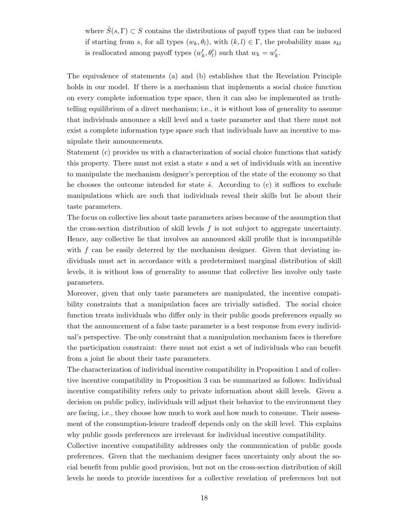where  $\hat{S}(s, \Gamma) \subset S$  contains the distributions of payoff types that can be induced if starting from s, for all types  $(w_k, \theta_l)$ , with  $(k, l) \in \Gamma$ , the probability mass  $s_{kl}$ is reallocated among payoff types  $(w'_k, \theta'_l)$  such that  $w_k = w'_k$ .

The equivalence of statements (a) and (b) establishes that the Revelation Principle holds in our model. If there is a mechanism that implements a social choice function on every complete information type space, then it can also be implemented as truthtelling equilibrium of a direct mechanism; i.e., it is without loss of generality to assume that individuals announce a skill level and a taste parameter and that there must not exist a complete information type space such that individuals have an incentive to manipulate their announcements.

Statement (c) provides us with a characterization of social choice functions that satisfy this property. There must not exist a state s and a set of individuals with an incentive to manipulate the mechanism designer's perception of the state of the economy so that he chooses the outcome intended for state  $\hat{s}$ . According to (c) it suffices to exclude manipulations which are such that individuals reveal their skills but lie about their taste parameters.

The focus on collective lies about taste parameters arises because of the assumption that the cross-section distribution of skill levels  $f$  is not subject to aggregate uncertainty. Hence, any collective lie that involves an announced skill profile that is incompatible with  $f$  can be easily deterred by the mechanism designer. Given that deviating individuals must act in accordance with a predetermined marginal distribution of skill levels, it is without loss of generality to assume that collective lies involve only taste parameters.

Moreover, given that only taste parameters are manipulated, the incentive compatibility constraints that a manipulation faces are trivially satisfied. The social choice function treats individuals who differ only in their public goods preferences equally so that the announcement of a false taste parameter is a best response from every individual's perspective. The only constraint that a manipulation mechanism faces is therefore the participation constraint: there must not exist a set of individuals who can benefit from a joint lie about their taste parameters.

The characterization of individual incentive compatibility in Proposition 1 and of collective incentive compatibility in Proposition 3 can be summarized as follows: Individual incentive compatibility refers only to private information about skill levels. Given a decision on public policy, individuals will adjust their behavior to the environment they are facing, i.e., they choose how much to work and how much to consume. Their assessment of the consumption-leisure tradeoff depends only on the skill level. This explains why public goods preferences are irrelevant for individual incentive compatibility.

Collective incentive compatibility addresses only the communication of public goods preferences. Given that the mechanism designer faces uncertainty only about the social benefit from public good provision, but not on the cross-section distribution of skill levels he needs to provide incentives for a collective revelation of preferences but not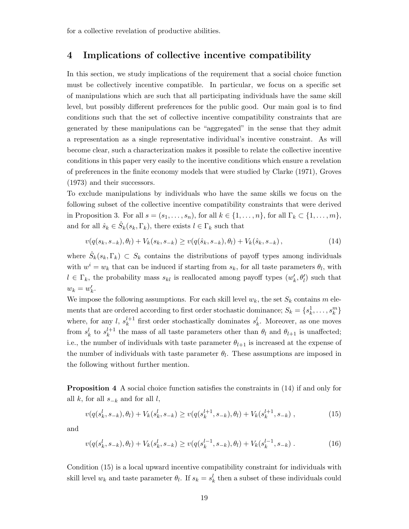for a collective revelation of productive abilities.

## 4 Implications of collective incentive compatibility

In this section, we study implications of the requirement that a social choice function must be collectively incentive compatible. In particular, we focus on a specific set of manipulations which are such that all participating individuals have the same skill level, but possibly different preferences for the public good. Our main goal is to find conditions such that the set of collective incentive compatibility constraints that are generated by these manipulations can be "aggregated" in the sense that they admit a representation as a single representative individual's incentive constraint. As will become clear, such a characterization makes it possible to relate the collective incentive conditions in this paper very easily to the incentive conditions which ensure a revelation of preferences in the finite economy models that were studied by Clarke (1971), Groves (1973) and their successors.

To exclude manipulations by individuals who have the same skills we focus on the following subset of the collective incentive compatibility constraints that were derived in Proposition 3. For all  $s = (s_1, \ldots, s_n)$ , for all  $k \in \{1, \ldots, n\}$ , for all  $\Gamma_k \subset \{1, \ldots, m\}$ , and for all  $\hat{s}_k \in \hat{S}_k(s_k, \Gamma_k)$ , there exists  $l \in \Gamma_k$  such that

$$
v(q(s_k, s_{-k}), \theta_l) + V_k(s_k, s_{-k}) \ge v(q(\hat{s}_k, s_{-k}), \theta_l) + V_k(\hat{s}_k, s_{-k}), \qquad (14)
$$

where  $\hat{S}_k(s_k, \Gamma_k) \subset S_k$  contains the distributions of payoff types among individuals with  $w^i = w_k$  that can be induced if starting from  $s_k$ , for all taste parameters  $\theta_l$ , with  $l \in \Gamma_k$ , the probability mass  $s_{kl}$  is reallocated among payoff types  $(w'_k, \theta'_l)$  such that  $w_k = w'_k$ .

We impose the following assumptions. For each skill level  $w_k$ , the set  $S_k$  contains m elements that are ordered according to first order stochastic dominance;  $S_k = \{s_k^1, \ldots, s_k^m\}$ where, for any l,  $s_k^{l+1}$  $k<sup>l+1</sup>$  first order stochastically dominates  $s<sup>l</sup>$ <sub>k</sub>. Moreover, as one moves from  $s_k^l$  to  $s_k^{l+1}$  $\ell_k^{l+1}$  the mass of all taste parameters other than  $\theta_l$  and  $\theta_{l+1}$  is unaffected; i.e., the number of individuals with taste parameter  $\theta_{l+1}$  is increased at the expense of the number of individuals with taste parameter  $\theta_l$ . These assumptions are imposed in the following without further mention.

Proposition 4 A social choice function satisfies the constraints in (14) if and only for all k, for all  $s_{-k}$  and for all l,

$$
v(q(s_k^l, s_{-k}), \theta_l) + V_k(s_k^l, s_{-k}) \ge v(q(s_k^{l+1}, s_{-k}), \theta_l) + V_k(s_k^{l+1}, s_{-k}), \qquad (15)
$$

and

$$
v(q(s_k^l, s_{-k}), \theta_l) + V_k(s_k^l, s_{-k}) \ge v(q(s_k^{l-1}, s_{-k}), \theta_l) + V_k(s_k^{l-1}, s_{-k}).
$$
\n(16)

Condition (15) is a local upward incentive compatibility constraint for individuals with skill level  $w_k$  and taste parameter  $\theta_l$ . If  $s_k = s_k^l$  then a subset of these individuals could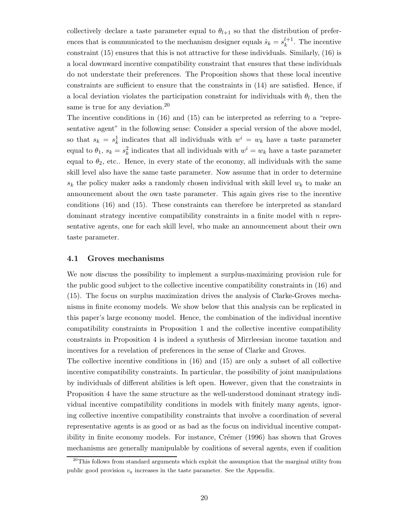collectively declare a taste parameter equal to  $\theta_{l+1}$  so that the distribution of preferences that is communicated to the mechanism designer equals  $\hat{s}_k = s_k^{l+1}$  $k^{l+1}$ . The incentive constraint (15) ensures that this is not attractive for these individuals. Similarly, (16) is a local downward incentive compatibility constraint that ensures that these individuals do not understate their preferences. The Proposition shows that these local incentive constraints are sufficient to ensure that the constraints in (14) are satisfied. Hence, if a local deviation violates the participation constraint for individuals with  $\theta_l$ , then the same is true for any deviation.<sup>20</sup>

The incentive conditions in (16) and (15) can be interpreted as referring to a "representative agent" in the following sense: Consider a special version of the above model, so that  $s_k = s_k^1$ <sup>1</sup><sub>k</sub> indicates that all individuals with  $w^i = w_k$  have a taste parameter equal to  $\theta_1$ ,  $s_k = s_k^2$  indicates that all individuals with  $w^i = w_k$  have a taste parameter equal to  $\theta_2$ , etc... Hence, in every state of the economy, all individuals with the same skill level also have the same taste parameter. Now assume that in order to determine  $s_k$  the policy maker asks a randomly chosen individual with skill level  $w_k$  to make an announcement about the own taste parameter. This again gives rise to the incentive conditions (16) and (15). These constraints can therefore be interpreted as standard dominant strategy incentive compatibility constraints in a finite model with  $n$  representative agents, one for each skill level, who make an announcement about their own taste parameter.

#### 4.1 Groves mechanisms

We now discuss the possibility to implement a surplus-maximizing provision rule for the public good subject to the collective incentive compatibility constraints in (16) and (15). The focus on surplus maximization drives the analysis of Clarke-Groves mechanisms in finite economy models. We show below that this analysis can be replicated in this paper's large economy model. Hence, the combination of the individual incentive compatibility constraints in Proposition 1 and the collective incentive compatibility constraints in Proposition 4 is indeed a synthesis of Mirrleesian income taxation and incentives for a revelation of preferences in the sense of Clarke and Groves.

The collective incentive conditions in (16) and (15) are only a subset of all collective incentive compatibility constraints. In particular, the possibility of joint manipulations by individuals of different abilities is left open. However, given that the constraints in Proposition 4 have the same structure as the well-understood dominant strategy individual incentive compatibility conditions in models with finitely many agents, ignoring collective incentive compatibility constraints that involve a coordination of several representative agents is as good or as bad as the focus on individual incentive compatibility in finite economy models. For instance, Crémer  $(1996)$  has shown that Groves mechanisms are generally manipulable by coalitions of several agents, even if coalition

<sup>&</sup>lt;sup>20</sup>This follows from standard arguments which exploit the assumption that the marginal utility from public good provision  $v_q$  increases in the taste parameter. See the Appendix.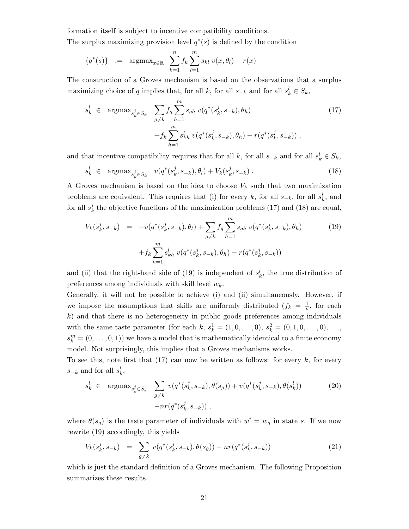formation itself is subject to incentive compatibility conditions.

The surplus maximizing provision level  $q^*(s)$  is defined by the condition

$$
\{q^*(s)\} := \operatorname{argmax}_{x \in \mathbb{R}} \sum_{k=1}^n f_k \sum_{l=1}^m s_{kl} v(x, \theta_l) - r(x)
$$

The construction of a Groves mechanism is based on the observations that a surplus maximizing choice of q implies that, for all k, for all  $s_{-k}$  and for all  $s'_{k} \in S_{k}$ ,

$$
s_k^l \in \operatorname{argmax}_{s_k^j \in S_k} \sum_{g \neq k} f_g \sum_{h=1}^m s_{gh} \ v(q^*(s_k^j, s_{-k}), \theta_h) + f_k \sum_{h=1}^m s_{kh}^l \ v(q^*(s_k^j, s_{-k}), \theta_h) - r(q^*(s_k^j, s_{-k})) ,
$$
(17)

and that incentive compatibility requires that for all k, for all  $s_{-k}$  and for all  $s_k^l \in S_k$ ,

$$
s_k^l \in \text{argmax}_{s_k^j \in S_k} \quad v(q^*(s_k^j, s_{-k}), \theta_l) + V_k(s_k^j, s_{-k}). \tag{18}
$$

A Groves mechanism is based on the idea to choose  $V_k$  such that two maximization problems are equivalent. This requires that (i) for every k, for all  $s_{-k}$ , for all  $s'_{k}$ , and for all  $s_k^j$  $k<sub>k</sub>$  the objective functions of the maximization problems (17) and (18) are equal,

$$
V_k(s_k^j, s_{-k}) = -v(q^*(s_k^j, s_{-k}), \theta_l) + \sum_{g \neq k} f_g \sum_{h=1}^m s_{gh} v(q^*(s_k^j, s_{-k}), \theta_h)
$$
(19)  
+  $f_k \sum_{h=1}^m s_{kh}^l v(q^*(s_k^j, s_{-k}), \theta_h) - r(q^*(s_k^j, s_{-k}))$ 

and (ii) that the right-hand side of (19) is independent of  $s_k^l$ , the true distribution of preferences among individuals with skill level  $w_k$ .

Generally, it will not be possible to achieve (i) and (ii) simultaneously. However, if we impose the assumptions that skills are uniformly distributed  $(f_k = \frac{1}{n})$  $\frac{1}{n}$ , for each  $k$ ) and that there is no heterogeneity in public goods preferences among individuals with the same taste parameter (for each k,  $s_k^1 = (1, 0, ..., 0), s_k^2 = (0, 1, 0, ..., 0), ...,$  $s_k^m = (0, \ldots, 0, 1)$  we have a model that is mathematically identical to a finite economy model. Not surprisingly, this implies that a Groves mechanisms works.

To see this, note first that  $(17)$  can now be written as follows: for every k, for every  $s_{-k}$  and for all  $s_k^l$ ,

$$
s_k^l \in \operatorname{argmax}_{s_k^j \in S_k} \sum_{g \neq k} v(q^*(s_k^j, s_{-k}), \theta(s_g)) + v(q^*(s_k^j, s_{-k}), \theta(s_k^l))
$$
\n
$$
-nr(q^*(s_k^j, s_{-k})),
$$
\n(20)

where  $\theta(s_g)$  is the taste parameter of individuals with  $w^i = w_g$  in state s. If we now rewrite (19) accordingly, this yields

$$
V_k(s_k^j, s_{-k}) = \sum_{g \neq k} v(q^*(s_k^j, s_{-k}), \theta(s_g)) - nr(q^*(s_k^j, s_{-k}))
$$
\n(21)

which is just the standard definition of a Groves mechanism. The following Proposition summarizes these results.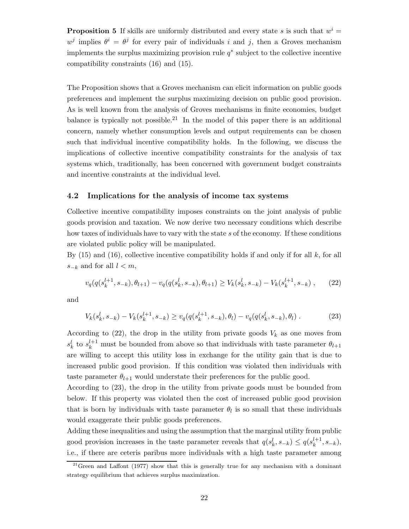**Proposition 5** If skills are uniformly distributed and every state s is such that  $w^i =$  $w^j$  implies  $\theta^i = \theta^j$  for every pair of individuals i and j, then a Groves mechanism implements the surplus maximizing provision rule  $q^*$  subject to the collective incentive compatibility constraints (16) and (15).

The Proposition shows that a Groves mechanism can elicit information on public goods preferences and implement the surplus maximizing decision on public good provision. As is well known from the analysis of Groves mechanisms in finite economies, budget balance is typically not possible.<sup>21</sup> In the model of this paper there is an additional concern, namely whether consumption levels and output requirements can be chosen such that individual incentive compatibility holds. In the following, we discuss the implications of collective incentive compatibility constraints for the analysis of tax systems which, traditionally, has been concerned with government budget constraints and incentive constraints at the individual level.

#### 4.2 Implications for the analysis of income tax systems

Collective incentive compatibility imposes constraints on the joint analysis of public goods provision and taxation. We now derive two necessary conditions which describe how taxes of individuals have to vary with the state s of the economy. If these conditions are violated public policy will be manipulated.

By  $(15)$  and  $(16)$ , collective incentive compatibility holds if and only if for all k, for all  $s_{-k}$  and for all  $l < m$ ,

$$
v_q(q(s_k^{l+1}, s_{-k}), \theta_{l+1}) - v_q(q(s_k^l, s_{-k}), \theta_{l+1}) \ge V_k(s_k^l, s_{-k}) - V_k(s_k^{l+1}, s_{-k}), \qquad (22)
$$

and

$$
V_k(s_k^l, s_{-k}) - V_k(s_k^{l+1}, s_{-k}) \ge v_q(q(s_k^{l+1}, s_{-k}), \theta_l) - v_q(q(s_k^l, s_{-k}), \theta_l) \,. \tag{23}
$$

According to (22), the drop in the utility from private goods  $V_k$  as one moves from  $s_k^l$  to  $s_k^{l+1}$  must be bounded from above so that individuals with taste parameter  $\theta_{l+1}$ are willing to accept this utility loss in exchange for the utility gain that is due to increased public good provision. If this condition was violated then individuals with taste parameter  $\theta_{l+1}$  would understate their preferences for the public good.

According to (23), the drop in the utility from private goods must be bounded from below. If this property was violated then the cost of increased public good provision that is born by individuals with taste parameter  $\theta_l$  is so small that these individuals would exaggerate their public goods preferences.

Adding these inequalities and using the assumption that the marginal utility from public good provision increases in the taste parameter reveals that  $q(s_k^l, s_{-k}) \leq q(s_k^{l+1})$  $_{k}^{l+1},s_{-k}),$ i.e., if there are ceteris paribus more individuals with a high taste parameter among

 $21$ Green and Laffont (1977) show that this is generally true for any mechanism with a dominant strategy equilibrium that achieves surplus maximization.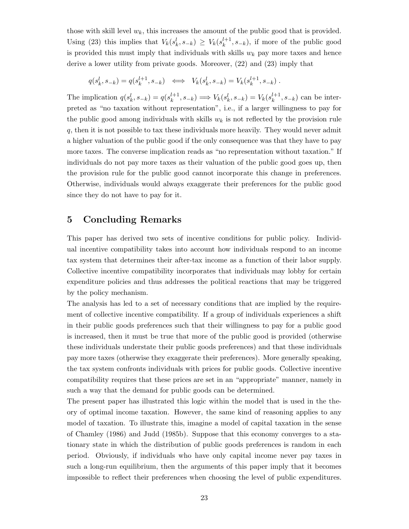those with skill level  $w_k$ , this increases the amount of the public good that is provided. Using (23) this implies that  $V_k(s_k^l, s_{-k}) \geq V_k(s_k^{l+1})$  $\binom{k+1}{k}, s_{-k}$ , if more of the public good is provided this must imply that individuals with skills  $w_k$  pay more taxes and hence derive a lower utility from private goods. Moreover, (22) and (23) imply that

$$
q(s_k^l, s_{-k}) = q(s_k^{l+1}, s_{-k}) \iff V_k(s_k^l, s_{-k}) = V_k(s_k^{l+1}, s_{-k}).
$$

The implication  $q(s_k^l, s_{-k}) = q(s_k^{l+1})$  $k^{l+1}, s_{-k} \implies V_k(s_k^l, s_{-k}) = V_k(s_k^{l+1})$  $\binom{k+1}{k}$ ,  $s_{-k}$  can be interpreted as "no taxation without representation", i.e., if a larger willingness to pay for the public good among individuals with skills  $w_k$  is not reflected by the provision rule q, then it is not possible to tax these individuals more heavily. They would never admit a higher valuation of the public good if the only consequence was that they have to pay more taxes. The converse implication reads as "no representation without taxation." If individuals do not pay more taxes as their valuation of the public good goes up, then the provision rule for the public good cannot incorporate this change in preferences. Otherwise, individuals would always exaggerate their preferences for the public good since they do not have to pay for it.

## 5 Concluding Remarks

This paper has derived two sets of incentive conditions for public policy. Individual incentive compatibility takes into account how individuals respond to an income tax system that determines their after-tax income as a function of their labor supply. Collective incentive compatibility incorporates that individuals may lobby for certain expenditure policies and thus addresses the political reactions that may be triggered by the policy mechanism.

The analysis has led to a set of necessary conditions that are implied by the requirement of collective incentive compatibility. If a group of individuals experiences a shift in their public goods preferences such that their willingness to pay for a public good is increased, then it must be true that more of the public good is provided (otherwise these individuals understate their public goods preferences) and that these individuals pay more taxes (otherwise they exaggerate their preferences). More generally speaking, the tax system confronts individuals with prices for public goods. Collective incentive compatibility requires that these prices are set in an "appropriate" manner, namely in such a way that the demand for public goods can be determined.

The present paper has illustrated this logic within the model that is used in the theory of optimal income taxation. However, the same kind of reasoning applies to any model of taxation. To illustrate this, imagine a model of capital taxation in the sense of Chamley (1986) and Judd (1985b). Suppose that this economy converges to a stationary state in which the distribution of public goods preferences is random in each period. Obviously, if individuals who have only capital income never pay taxes in such a long-run equilibrium, then the arguments of this paper imply that it becomes impossible to reflect their preferences when choosing the level of public expenditures.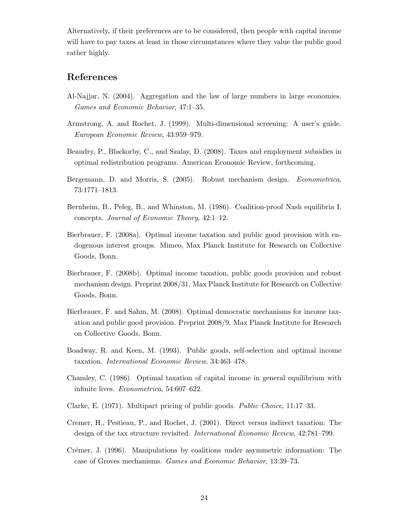Alternatively, if their preferences are to be considered, then people with capital income will have to pay taxes at least in those circumstances where they value the public good rather highly.

## References

- Al-Najjar, N. (2004). Aggregation and the law of large numbers in large economies. Games and Economic Behavior, 47:1–35.
- Armstrong, A. and Rochet, J. (1999). Multi-dimensional screening: A user's guide. European Economic Review, 43:959–979.
- Beaudry, P., Blackorby, C., and Szalay, D. (2008). Taxes and employment subsidies in optimal redistribution programs. American Economic Review, forthcoming.
- Bergemann, D. and Morris, S. (2005). Robust mechanism design. Econometrica, 73:1771–1813.
- Bernheim, B., Peleg, B., and Whinston, M. (1986). Coalition-proof Nash equilibria I. concepts. Journal of Economic Theory, 42:1–12.
- Bierbrauer, F. (2008a). Optimal income taxation and public good provision with endogenous interest groups. Mimeo, Max Planck Institute for Research on Collective Goods, Bonn.
- Bierbrauer, F. (2008b). Optimal income taxation, public goods provision and robust mechanism design. Preprint 2008/31, Max Planck Institute for Research on Collective Goods, Bonn.
- Bierbrauer, F. and Sahm, M. (2008). Optimal democratic mechanisms for income taxation and public good provision. Preprint 2008/9, Max Planck Institute for Research on Collective Goods, Bonn.
- Boadway, R. and Keen, M. (1993). Public goods, self-selection and optimal income taxation. International Economic Review, 34:463–478.
- Chamley, C. (1986). Optimal taxation of capital income in general equilibrium with infinite lives. Econometrica, 54:607–622.
- Clarke, E. (1971). Multipart pricing of public goods. Public Choice, 11:17–33.
- Cremer, H., Pestieau, P., and Rochet, J. (2001). Direct versus indirect taxation: The design of the tax structure revisited. International Economic Review, 42:781–799.
- Crémer, J. (1996). Manipulations by coalitions under asymmetric information: The case of Groves mechanisms. Games and Economic Behavior, 13:39–73.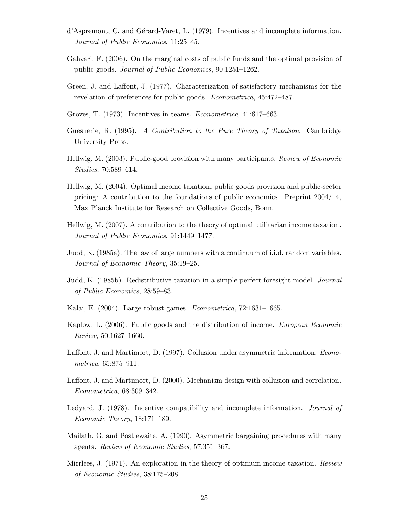- d'Aspremont, C. and Gérard-Varet, L. (1979). Incentives and incomplete information. Journal of Public Economics, 11:25–45.
- Gahvari, F. (2006). On the marginal costs of public funds and the optimal provision of public goods. Journal of Public Economics, 90:1251–1262.
- Green, J. and Laffont, J. (1977). Characterization of satisfactory mechanisms for the revelation of preferences for public goods. Econometrica, 45:472–487.
- Groves, T. (1973). Incentives in teams. Econometrica, 41:617–663.
- Guesnerie, R. (1995). A Contribution to the Pure Theory of Taxation. Cambridge University Press.
- Hellwig, M. (2003). Public-good provision with many participants. Review of Economic Studies, 70:589–614.
- Hellwig, M. (2004). Optimal income taxation, public goods provision and public-sector pricing: A contribution to the foundations of public economics. Preprint 2004/14, Max Planck Institute for Research on Collective Goods, Bonn.
- Hellwig, M. (2007). A contribution to the theory of optimal utilitarian income taxation. Journal of Public Economics, 91:1449–1477.
- Judd, K. (1985a). The law of large numbers with a continuum of i.i.d. random variables. Journal of Economic Theory, 35:19–25.
- Judd, K. (1985b). Redistributive taxation in a simple perfect foresight model. Journal of Public Economics, 28:59–83.
- Kalai, E. (2004). Large robust games. Econometrica, 72:1631–1665.
- Kaplow, L. (2006). Public goods and the distribution of income. European Economic Review, 50:1627–1660.
- Laffont, J. and Martimort, D. (1997). Collusion under asymmetric information. Econometrica, 65:875–911.
- Laffont, J. and Martimort, D. (2000). Mechanism design with collusion and correlation. Econometrica, 68:309–342.
- Ledyard, J. (1978). Incentive compatibility and incomplete information. Journal of Economic Theory, 18:171–189.
- Mailath, G. and Postlewaite, A. (1990). Asymmetric bargaining procedures with many agents. Review of Economic Studies, 57:351–367.
- Mirrlees, J. (1971). An exploration in the theory of optimum income taxation. Review of Economic Studies, 38:175–208.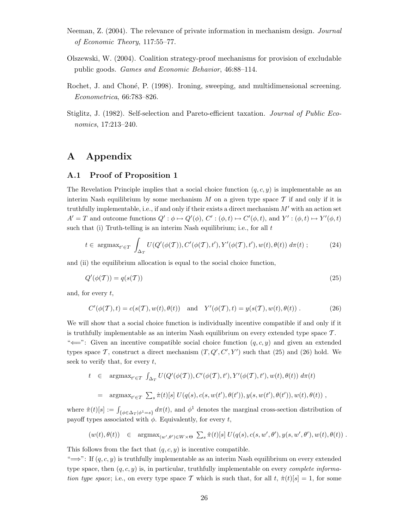- Neeman, Z. (2004). The relevance of private information in mechanism design. Journal of Economic Theory, 117:55–77.
- Olszewski, W. (2004). Coalition strategy-proof mechanisms for provision of excludable public goods. Games and Economic Behavior, 46:88–114.
- Rochet, J. and Choné, P. (1998). Ironing, sweeping, and multidimensional screening. Econometrica, 66:783–826.
- Stiglitz, J. (1982). Self-selection and Pareto-efficient taxation. Journal of Public Economics, 17:213–240.

## A Appendix

#### A.1 Proof of Proposition 1

The Revelation Principle implies that a social choice function  $(q, c, y)$  is implementable as an interim Nash equilibrium by some mechanism  $M$  on a given type space  $\mathcal T$  if and only if it is truthfully implementable, i.e., if and only if their exists a direct mechanism  $M'$  with an action set  $A' = T$  and outcome functions  $Q' : \phi \mapsto Q'(\phi), C' : (\phi, t) \mapsto C'(\phi, t)$ , and  $Y' : (\phi, t) \mapsto Y'(\phi, t)$ such that (i) Truth-telling is an interim Nash equilibrium; i.e., for all  $t$ 

$$
t \in \operatorname{argmax}_{t' \in T} \int_{\Delta_T} U(Q'(\phi(T)), C'(\phi(T), t'), Y'(\phi(T), t'), w(t), \theta(t)) \, d\pi(t) ; \tag{24}
$$

and (ii) the equilibrium allocation is equal to the social choice function,

$$
Q'(\phi(\mathcal{T})) = q(s(\mathcal{T})) \tag{25}
$$

and, for every  $t$ ,

$$
C'(\phi(\mathcal{T}), t) = c(s(\mathcal{T}), w(t), \theta(t)) \text{ and } Y'(\phi(\mathcal{T}), t) = y(s(\mathcal{T}), w(t), \theta(t)).
$$
 (26)

We will show that a social choice function is individually incentive compatible if and only if it is truthfully implementable as an interim Nash equilibrium on every extended type space  $\mathcal{T}$ . " $\Longleftarrow$ ": Given an incentive compatible social choice function  $(q, c, y)$  and given an extended types space  $\mathcal{T}$ , construct a direct mechanism  $(T, Q', C', Y')$  such that (25) and (26) hold. We seek to verify that, for every  $t$ ,

$$
t \in \operatorname{argmax}_{t' \in T} \int_{\Delta_T} U(Q'(\phi(T)), C'(\phi(T), t'), Y'(\phi(T), t'), w(t), \theta(t)) d\pi(t)
$$
  
= 
$$
\operatorname{argmax}_{t' \in T} \sum_s \hat{\pi}(t)[s] U(q(s), c(s, w(t'), \theta(t')), y(s, w(t'), \theta(t')), w(t), \theta(t)),
$$

where  $\hat{\pi}(t)[s] := \int_{\{\phi \in \Delta_T | \phi^1 = s\}} d\pi(t)$ , and  $\phi^1$  denotes the marginal cross-section distribution of payoff types associated with  $\phi$ . Equivalently, for every t,

$$
(w(t), \theta(t)) \in \operatorname{argmax}_{(w', \theta') \in W \times \Theta} \sum_s \hat{\pi}(t)[s] U(q(s), c(s, w', \theta'), y(s, w', \theta'), w(t), \theta(t)) .
$$

This follows from the fact that  $(q, c, y)$  is incentive compatible.

" $\Longrightarrow$ ": If  $(q, c, y)$  is truthfully implementable as an interim Nash equilibrium on every extended type space, then  $(q, c, y)$  is, in particular, truthfully implementable on every *complete informa*tion type space; i.e., on every type space T which is such that, for all t,  $\hat{\pi}(t)[s] = 1$ , for some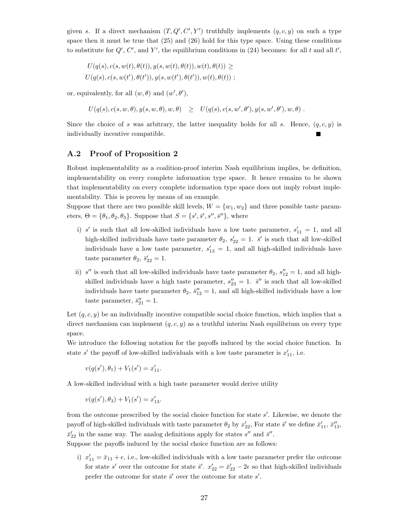given s. If a direct mechanism  $(T, Q', C', Y')$  truthfully implements  $(q, c, y)$  on such a type space then it must be true that  $(25)$  and  $(26)$  hold for this type space. Using these conditions to substitute for  $Q'$ ,  $C'$ , and Y', the equilibrium conditions in (24) becomes: for all t and all t',

$$
U(q(s), c(s, w(t), \theta(t)), y(s, w(t), \theta(t)), w(t), \theta(t)) \geq
$$
  
 
$$
U(q(s), c(s, w(t'), \theta(t')), y(s, w(t'), \theta(t')), w(t), \theta(t)) ;
$$

or, equivalently, for all  $(w, \theta)$  and  $(w', \theta')$ ,

 $U(q(s), c(s, w, \theta), y(s, w, \theta), w, \theta) \geq U(q(s), c(s, w', \theta'), y(s, w', \theta'), w, \theta)$ .

Since the choice of s was arbitrary, the latter inequality holds for all s. Hence,  $(q, c, y)$  is individually incentive compatible.

#### A.2 Proof of Proposition 2

Robust implementability as a coalition-proof interim Nash equilibrium implies, be definition, implementability on every complete information type space. It hence remains to be shown that implementability on every complete information type space does not imply robust implementability. This is proven by means of an example.

Suppose that there are two possible skill levels,  $W = \{w_1, w_2\}$  and three possible taste parameters,  $\Theta = {\theta_1, \theta_2, \theta_3}$ . Suppose that  $S = {s', \bar{s}', s'', \bar{s}''}$ , where

- i) s' is such that all low-skilled individuals have a low taste parameter,  $s'_{11} = 1$ , and all high-skilled individuals have taste parameter  $\theta_2$ ,  $s'_{22} = 1$ .  $\bar{s}'$  is such that all low-skilled individuals have a low taste parameter,  $s'_{13} = 1$ , and all high-skilled individuals have taste parameter  $\theta_2$ ,  $\bar{s}'_{22} = 1$ .
- ii) s'' is such that all low-skilled individuals have taste parameter  $\theta_2$ ,  $s_{12}'' = 1$ , and all highskilled individuals have a high taste parameter,  $s_{23}'' = 1$ .  $\bar{s}''$  is such that all low-skilled individuals have taste parameter  $\theta_2$ ,  $\bar{s}''_{12} = 1$ , and all high-skilled individuals have a low taste parameter,  $\bar{s}''_{21} = 1$ .

Let  $(q, c, y)$  be an individually incentive compatible social choice function, which implies that a direct mechanism can implement  $(q, c, y)$  as a truthful interim Nash equilibrium on every type space.

We introduce the following notation for the payoffs induced by the social choice function. In state  $s'$  the payoff of low-skilled individuals with a low taste parameter is  $x'_{11}$ , i.e.

$$
v(q(s'), \theta_1) + V_1(s') = x'_{11}.
$$

A low-skilled individual with a high taste parameter would derive utility

$$
v(q(s'), \theta_3) + V_1(s') = x'_{13}.
$$

from the outcome prescribed by the social choice function for state s'. Likewise, we denote the payoff of high-skilled individuals with taste parameter  $\theta_2$  by  $x'_{22}$ , For state  $\bar{s}'$  we define  $\bar{x}'_{11}$ ,  $\bar{x}''_{13}$ ,  $\bar{x}'_{22}$  in the same way. The analog definitions apply for states s'' and  $\bar{s}''$ .

Suppose the payoffs induced by the social choice function are as follows:

i)  $x'_{11} = \bar{x}_{11} + \epsilon$ , i.e., low-skilled individuals with a low taste parameter prefer the outcome for state s' over the outcome for state  $\bar{s}'$ .  $x'_{22} = \bar{x}'_{22} - 2\epsilon$  so that high-skilled individuals prefer the outcome for state  $\bar{s}'$  over the outcome for state  $s'$ .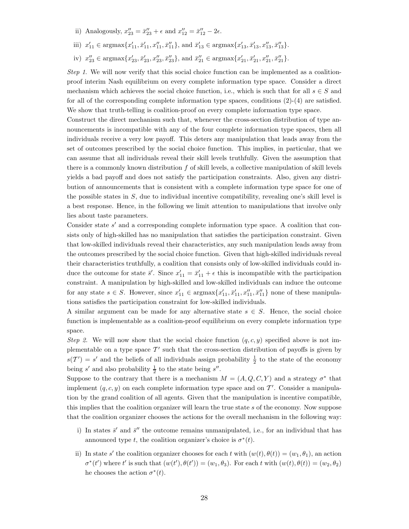- ii) Analogously,  $x_{23}'' = \bar{x}_{23}'' + \epsilon$  and  $x_{12}'' = \bar{x}_{12}'' 2\epsilon$ .
- iii)  $x'_{11} \in \text{argmax}\{x'_{11}, \bar{x}'_{11}, x''_{11}, \bar{x}''_{11}\}, \text{ and } \bar{x}'_{13} \in \text{argmax}\{x'_{13}, \bar{x}'_{13}, x''_{13}, \bar{x}''_{13}\}.$
- iv)  $x_{23}'' \in \text{argmax}\{x_{23}', \bar{x}_{23}', x_{23}''', \bar{x}_{23}''\}, \text{ and } \bar{x}_{21}'' \in \text{argmax}\{x_{21}', \bar{x}_{21}', x_{21}''', \bar{x}_{21}''\}.$

Step 1. We will now verify that this social choice function can be implemented as a coalitionproof interim Nash equilibrium on every complete information type space. Consider a direct mechanism which achieves the social choice function, i.e., which is such that for all  $s \in S$  and for all of the corresponding complete information type spaces, conditions  $(2)-(4)$  are satisfied. We show that truth-telling is coalition-proof on every complete information type space.

Construct the direct mechanism such that, whenever the cross-section distribution of type announcements is incompatible with any of the four complete information type spaces, then all individuals receive a very low payoff. This deters any manipulation that leads away from the set of outcomes prescribed by the social choice function. This implies, in particular, that we can assume that all individuals reveal their skill levels truthfully. Given the assumption that there is a commonly known distribution  $f$  of skill levels, a collective manipulation of skill levels yields a bad payoff and does not satisfy the participation constraints. Also, given any distribution of announcements that is consistent with a complete information type space for one of the possible states in  $S$ , due to individual incentive compatibility, revealing one's skill level is a best response. Hence, in the following we limit attention to manipulations that involve only lies about taste parameters.

Consider state s' and a corresponding complete information type space. A coalition that consists only of high-skilled has no manipulation that satisfies the participation constraint. Given that low-skilled individuals reveal their characteristics, any such manipulation leads away from the outcomes prescribed by the social choice function. Given that high-skilled individuals reveal their characteristics truthfully, a coalition that consists only of low-skilled individuals could induce the outcome for state  $\bar{s}'$ . Since  $x'_{11} = \bar{x}'_{11} + \epsilon$  this is incompatible with the participation constraint. A manipulation by high-skilled and low-skilled individuals can induce the outcome for any state  $s \in S$ . However, since  $x'_{11} \in \text{argmax}\{x'_{11}, \bar{x}'_{11}, x''_{11}, \bar{x}''_{11}\}\$  none of these manipulations satisfies the participation constraint for low-skilled individuals.

A similar argument can be made for any alternative state  $s \in S$ . Hence, the social choice function is implementable as a coalition-proof equilibrium on every complete information type space.

Step 2. We will now show that the social choice function  $(q, c, y)$  specified above is not implementable on a type space  $\mathcal{T}'$  such that the cross-section distribution of payoffs is given by  $s(\mathcal{T}') = s'$  and the beliefs of all individuals assign probability  $\frac{1}{2}$  to the state of the economy being s' and also probability  $\frac{1}{2}$  to the state being s''.

Suppose to the contrary that there is a mechanism  $M = (A, Q, C, Y)$  and a strategy  $\sigma^*$  that implement  $(q, c, y)$  on each complete information type space and on T'. Consider a manipulation by the grand coalition of all agents. Given that the manipulation is incentive compatible, this implies that the coalition organizer will learn the true state  $s$  of the economy. Now suppose that the coalition organizer chooses the actions for the overall mechanism in the following way:

- i) In states  $\bar{s}'$  and  $\bar{s}''$  the outcome remains unmanipulated, i.e., for an individual that has announced type t, the coalition organizer's choice is  $\sigma^*(t)$ .
- ii) In state s' the coalition organizer chooses for each t with  $(w(t), \theta(t)) = (w_1, \theta_1)$ , an action  $\sigma^*(t')$  where t' is such that  $(w(t'), \theta(t')) = (w_1, \theta_3)$ . For each t with  $(w(t), \theta(t)) = (w_2, \theta_2)$ he chooses the action  $\sigma^*(t)$ .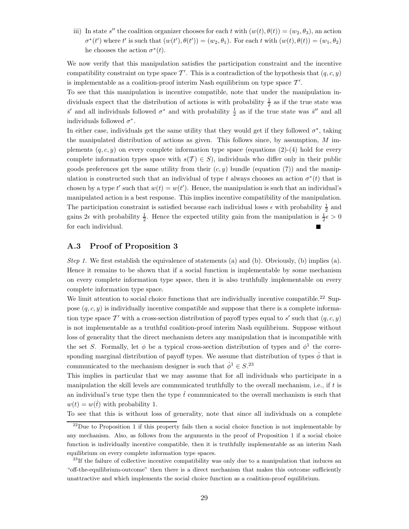iii) In state s'' the coalition organizer chooses for each t with  $(w(t), \theta(t)) = (w_2, \theta_3)$ , an action  $\sigma^*(t')$  where t' is such that  $(w(t'), \theta(t')) = (w_2, \theta_1)$ . For each t with  $(w(t), \theta(t)) = (w_1, \theta_2)$ he chooses the action  $\sigma^*(t)$ .

We now verify that this manipulation satisfies the participation constraint and the incentive compatibility constraint on type space  $\mathcal{T}'$ . This is a contradiction of the hypothesis that  $(q, c, y)$ is implementable as a coalition-proof interim Nash equilibrium on type space  $\mathcal{T}'$ .

To see that this manipulation is incentive compatible, note that under the manipulation individuals expect that the distribution of actions is with probability  $\frac{1}{2}$  as if the true state was  $\bar{s}'$  and all individuals followed  $\sigma^*$  and with probability  $\frac{1}{2}$  as if the true state was  $\bar{s}''$  and all individuals followed  $\sigma^*$ .

In either case, individuals get the same utility that they would get if they followed  $\sigma^*$ , taking the manipulated distribution of actions as given. This follows since, by assumption,  $M$  implements  $(q, c, y)$  on every complete information type space (equations  $(2)-(4)$ ) hold for every complete information types space with  $s(T) \in S$ ), individuals who differ only in their public goods preferences get the same utility from their  $(c, y)$  bundle (equation (7)) and the manipulation is constructed such that an individual of type t always chooses an action  $\sigma^*(t)$  that is chosen by a type t' such that  $w(t) = w(t')$ . Hence, the manipulation is such that an individual's manipulated action is a best response. This implies incentive compatibility of the manipulation. The participation constraint is satisfied because each individual loses  $\epsilon$  with probability  $\frac{1}{2}$  and gains  $2\epsilon$  with probability  $\frac{1}{2}$ . Hence the expected utility gain from the manipulation is  $\frac{1}{2}\epsilon > 0$ for each individual.

#### A.3 Proof of Proposition 3

*Step 1.* We first establish the equivalence of statements (a) and (b). Obviously, (b) implies (a). Hence it remains to be shown that if a social function is implementable by some mechanism on every complete information type space, then it is also truthfully implementable on every complete information type space.

We limit attention to social choice functions that are individually incentive compatible.<sup>22</sup> Suppose  $(q, c, y)$  is individually incentive compatible and suppose that there is a complete information type space  $\mathcal{T}'$  with a cross-section distribution of payoff types equal to s' such that  $(q, c, y)$ is not implementable as a truthful coalition-proof interim Nash equilibrium. Suppose without loss of generality that the direct mechanism deters any manipulation that is incompatible with the set S. Formally, let  $\phi$  be a typical cross-section distribution of types and  $\phi^1$  the corresponding marginal distribution of payoff types. We assume that distribution of types  $\hat{\phi}$  that is communicated to the mechanism designer is such that  $\hat{\phi}^1 \in S$ <sup>23</sup>

This implies in particular that we may assume that for all individuals who participate in a manipulation the skill levels are communicated truthfully to the overall mechanism, i.e., if t is an individual's true type then the type  $\hat{t}$  communicated to the overall mechanism is such that  $w(t) = w(\hat{t})$  with probability 1.

To see that this is without loss of generality, note that since all individuals on a complete

 $^{22}$ Due to Proposition 1 if this property fails then a social choice function is not implementable by any mechanism. Also, as follows from the arguments in the proof of Proposition 1 if a social choice function is individually incentive compatible, then it is truthfully implementable as an interim Nash equilibrium on every complete information type spaces.

 $23$ If the failure of collective incentive compatibility was only due to a manipulation that induces an "off-the-equilibrium-outcome" then there is a direct mechanism that makes this outcome sufficiently unattractive and which implements the social choice function as a coalition-proof equilibrium.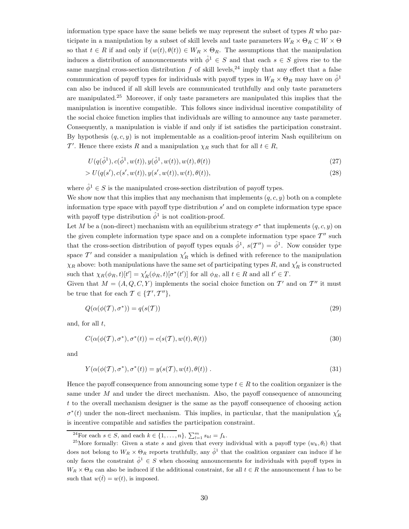information type space have the same beliefs we may represent the subset of types  $R$  who participate in a manipulation by a subset of skill levels and taste parameters  $W_R \times \Theta_R \subset W \times \Theta$ so that  $t \in R$  if and only if  $(w(t), \theta(t)) \in W_R \times \Theta_R$ . The assumptions that the manipulation induces a distribution of announcements with  $\hat{\phi}^1 \in S$  and that each  $s \in S$  gives rise to the same marginal cross-section distribution  $f$  of skill levels,<sup>24</sup> imply that any effect that a false communication of payoff types for individuals with payoff types in  $W_R \times \Theta_R$  may have on  $\hat{\phi}^1$ can also be induced if all skill levels are communicated truthfully and only taste parameters are manipulated.<sup>25</sup> Moreover, if only taste parameters are manipulated this implies that the manipulation is incentive compatible. This follows since individual incentive compatibility of the social choice function implies that individuals are willing to announce any taste parameter. Consequently, a manipulation is viable if and only if ist satisfies the participation constraint. By hypothesis  $(q, c, y)$  is not implementable as a coalition-proof interim Nash equilibrium on T'. Hence there exists R and a manipulation  $\chi_R$  such that for all  $t \in R$ ,

$$
U(q(\hat{\phi}^1), c(\hat{\phi}^1, w(t)), y(\hat{\phi}^1, w(t)), w(t), \theta(t))
$$
\n(27)

$$
> U(q(s'), c(s', w(t)), y(s', w(t)), w(t), \theta(t)),
$$
\n(28)

where  $\hat{\phi}^1 \in S$  is the manipulated cross-section distribution of payoff types.

We show now that this implies that any mechanism that implements  $(q, c, y)$  both on a complete information type space with payoff type distribution  $s'$  and on complete information type space with payoff type distribution  $\hat{\phi}^1$  is not coalition-proof.

Let M be a (non-direct) mechanism with an equilibrium strategy  $\sigma^*$  that implements  $(q, c, y)$  on the given complete information type space and on a complete information type space  $T''$  such that the cross-section distribution of payoff types equals  $\hat{\phi}^1$ ,  $s(T'') = \hat{\phi}^1$ . Now consider type space  $\mathcal{T}'$  and consider a manipulation  $\chi'_R$  which is defined with reference to the manipulation  $\chi_R$  above: both manipulations have the same set of participating types R, and  $\chi'_R$  is constructed such that  $\chi_R(\phi_R, t)[t'] = \chi'_R(\phi_R, t)[\sigma^*(t')]$  for all  $\phi_R$ , all  $t \in R$  and all  $t' \in T$ .

Given that  $M = (A, Q, C, Y)$  implements the social choice function on T' and on T'' it must be true that for each  $\mathcal{T} \in \{ \mathcal{T}', \mathcal{T}'' \},$ 

$$
Q(\alpha(\phi(\mathcal{T}), \sigma^*)) = q(s(\mathcal{T}))
$$
\n(29)

and, for all  $t$ ,

$$
C(\alpha(\phi(\mathcal{T}), \sigma^*), \sigma^*(t)) = c(s(\mathcal{T}), w(t), \theta(t))
$$
\n(30)

and

$$
Y(\alpha(\phi(\mathcal{T}), \sigma^*), \sigma^*(t)) = y(s(\mathcal{T}), w(t), \theta(t)).
$$
\n(31)

Hence the payoff consequence from announcing some type  $t \in R$  to the coalition organizer is the same under M and under the direct mechanism. Also, the payoff consequence of announcing t to the overall mechanism designer is the same as the payoff consequence of choosing action  $\sigma^*(t)$  under the non-direct mechanism. This implies, in particular, that the manipulation  $\chi'_R$ is incentive compatible and satisfies the participation constraint.

<sup>&</sup>lt;sup>24</sup>For each  $s \in S$ , and each  $k \in \{1, \ldots, n\}$ ,  $\sum_{l=1}^{m} s_{kl} = f_k$ .

<sup>&</sup>lt;sup>25</sup>More formally: Given a state s and given that every individual with a payoff type  $(w_k, \theta_l)$  that does not belong to  $W_R \times \Theta_R$  reports truthfully, any  $\hat{\phi}^1$  that the coalition organizer can induce if he only faces the constraint  $\hat{\phi}^1 \in S$  when choosing announcements for individuals with payoff types in  $W_R \times \Theta_R$  can also be induced if the additional constraint, for all  $t \in R$  the announcement  $\hat{t}$  has to be such that  $w(\hat{t}) = w(t)$ , is imposed.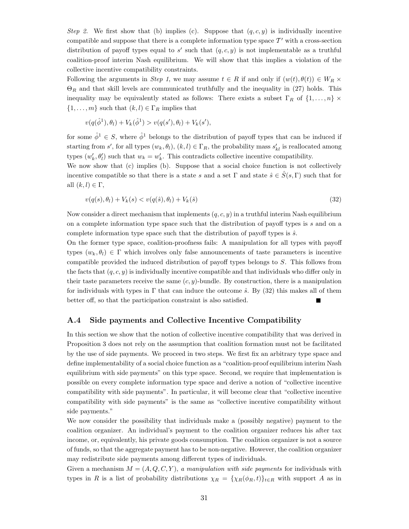Step 2. We first show that (b) implies (c). Suppose that  $(q, c, y)$  is individually incentive compatible and suppose that there is a complete information type space  $\mathcal{T}'$  with a cross-section distribution of payoff types equal to s' such that  $(q, c, y)$  is not implementable as a truthful coalition-proof interim Nash equilibrium. We will show that this implies a violation of the collective incentive compatibility constraints.

Following the arguments in Step 1, we may assume  $t \in R$  if and only if  $(w(t), \theta(t)) \in W_R \times$  $\Theta_R$  and that skill levels are communicated truthfully and the inequality in (27) holds. This inequality may be equivalently stated as follows: There exists a subset  $\Gamma_R$  of  $\{1,\ldots,n\}\times$  $\{1, \ldots, m\}$  such that  $(k, l) \in \Gamma_R$  implies that

$$
v(q(\hat{\phi}^{1}), \theta_{l}) + V_{k}(\hat{\phi}^{1}) > v(q(s'), \theta_{l}) + V_{k}(s'),
$$

for some  $\hat{\phi}^1 \in S$ , where  $\hat{\phi}^1$  belongs to the distribution of payoff types that can be induced if starting from s', for all types  $(w_k, \theta_l)$ ,  $(k,l) \in \Gamma_R$ , the probability mass  $s'_{kl}$  is reallocated among types  $(w'_k, \theta'_l)$  such that  $w_k = w'_k$ . This contradicts collective incentive compatibility.

We now show that (c) implies (b). Suppose that a social choice function is not collectively incentive compatible so that there is a state s and a set  $\Gamma$  and state  $\hat{s} \in \hat{S}(s,\Gamma)$  such that for all  $(k, l) \in \Gamma$ ,

$$
v(q(s), \theta_l) + V_k(s) < v(q(\hat{s}), \theta_l) + V_k(\hat{s}) \tag{32}
$$

Now consider a direct mechanism that implements  $(q, c, y)$  in a truthful interim Nash equilibrium on a complete information type space such that the distribution of payoff types is s and on a complete information type space such that the distribution of payoff types is  $\hat{s}$ .

On the former type space, coalition-proofness fails: A manipulation for all types with payoff types  $(w_k, \theta_l) \in \Gamma$  which involves only false announcements of taste parameters is incentive compatible provided the induced distribution of payoff types belongs to S. This follows from the facts that  $(q, c, y)$  is individually incentive compatible and that individuals who differ only in their taste parameters receive the same  $(c, y)$ -bundle. By construction, there is a manipulation for individuals with types in  $\Gamma$  that can induce the outcome  $\hat{s}$ . By (32) this makes all of them better off, so that the participation constraint is also satisfied.

#### A.4 Side payments and Collective Incentive Compatibility

In this section we show that the notion of collective incentive compatibility that was derived in Proposition 3 does not rely on the assumption that coalition formation must not be facilitated by the use of side payments. We proceed in two steps. We first fix an arbitrary type space and define implementability of a social choice function as a "coalition-proof equilibrium interim Nash equilibrium with side payments" on this type space. Second, we require that implementation is possible on every complete information type space and derive a notion of "collective incentive compatibility with side payments". In particular, it will become clear that "collective incentive compatibility with side payments" is the same as "collective incentive compatibility without side payments."

We now consider the possibility that individuals make a (possibly negative) payment to the coalition organizer. An individual's payment to the coalition organizer reduces his after tax income, or, equivalently, his private goods consumption. The coalition organizer is not a source of funds, so that the aggregate payment has to be non-negative. However, the coalition organizer may redistribute side payments among different types of individuals.

Given a mechanism  $M = (A, Q, C, Y)$ , a manipulation with side payments for individuals with types in R is a list of probability distributions  $\chi_R = {\chi_R(\phi_R, t)}_{t \in R}$  with support A as in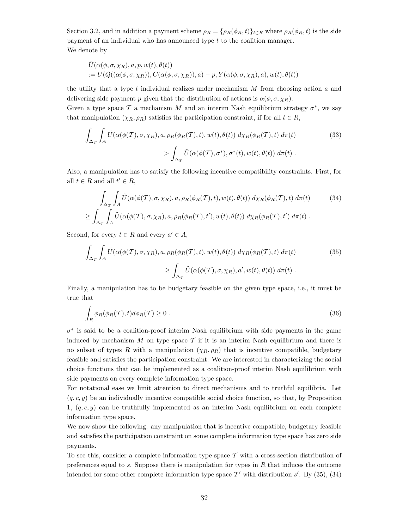Section 3.2, and in addition a payment scheme  $\rho_R = \{\rho_R(\phi_R, t)\}_{t \in R}$  where  $\rho_R(\phi_R, t)$  is the side payment of an individual who has announced type t to the coalition manager. We denote by

$$
\tilde{U}(\alpha(\phi, \sigma, \chi_R), a, p, w(t), \theta(t))
$$
  
:=  $U(Q((\alpha(\phi, \sigma, \chi_R)), C(\alpha(\phi, \sigma, \chi_R)), a) - p, Y(\alpha(\phi, \sigma, \chi_R), a), w(t), \theta(t))$ 

the utility that a type  $t$  individual realizes under mechanism  $M$  from choosing action  $a$  and delivering side payment p given that the distribution of actions is  $\alpha(\phi, \sigma, \chi_R)$ .

Given a type space  $\mathcal T$  a mechanism M and an interim Nash equilibrium strategy  $\sigma^*$ , we say that manipulation  $(\chi_R, \rho_R)$  satisfies the participation constraint, if for all  $t \in R$ ,

$$
\int_{\Delta_T} \int_A \tilde{U}(\alpha(\phi(\mathcal{T}), \sigma, \chi_R), a, \rho_R(\phi_R(\mathcal{T}), t), w(t), \theta(t)) d\chi_R(\phi_R(\mathcal{T}), t) d\pi(t) \tag{33}
$$
\n
$$
> \int_{\Delta_T} \tilde{U}(\alpha(\phi(\mathcal{T}), \sigma^*), \sigma^*(t), w(t), \theta(t)) d\pi(t) .
$$

Also, a manipulation has to satisfy the following incentive compatibility constraints. First, for all  $t \in R$  and all  $t' \in R$ ,

$$
\int_{\Delta_T} \int_A \tilde{U}(\alpha(\phi(T), \sigma, \chi_R), a, \rho_R(\phi_R(T), t), w(t), \theta(t)) d\chi_R(\phi_R(T), t) d\pi(t)
$$
\n
$$
\geq \int_{\Delta_T} \int_A \tilde{U}(\alpha(\phi(T), \sigma, \chi_R), a, \rho_R(\phi_R(T), t'), w(t), \theta(t)) d\chi_R(\phi_R(T), t') d\pi(t).
$$
\n(34)

Second, for every  $t \in R$  and every  $a' \in A$ ,

$$
\int_{\Delta_T} \int_A \tilde{U}(\alpha(\phi(\mathcal{T}), \sigma, \chi_R), a, \rho_R(\phi_R(\mathcal{T}), t), w(t), \theta(t)) d\chi_R(\phi_R(\mathcal{T}), t) d\pi(t) \ge \int_{\Delta_T} \tilde{U}(\alpha(\phi(\mathcal{T}), \sigma, \chi_R), a', w(t), \theta(t)) d\pi(t).
$$
\n(35)

Finally, a manipulation has to be budgetary feasible on the given type space, i.e., it must be true that

$$
\int_{R} \phi_R(\phi_R(\mathcal{T}), t) d\phi_R(\mathcal{T}) \ge 0.
$$
\n(36)

 $\sigma^*$  is said to be a coalition-proof interim Nash equilibrium with side payments in the game induced by mechanism M on type space  $\mathcal T$  if it is an interim Nash equilibrium and there is no subset of types R with a manipulation  $(\chi_R, \rho_R)$  that is incentive compatible, budgetary feasible and satisfies the participation constraint. We are interested in characterizing the social choice functions that can be implemented as a coalition-proof interim Nash equilibrium with side payments on every complete information type space.

For notational ease we limit attention to direct mechanisms and to truthful equilibria. Let  $(q, c, y)$  be an individually incentive compatible social choice function, so that, by Proposition 1,  $(q, c, y)$  can be truthfully implemented as an interim Nash equilibrium on each complete information type space.

We now show the following: any manipulation that is incentive compatible, budgetary feasible and satisfies the participation constraint on some complete information type space has zero side payments.

To see this, consider a complete information type space  $\mathcal T$  with a cross-section distribution of preferences equal to s. Suppose there is manipulation for types in  $R$  that induces the outcome intended for some other complete information type space  $\mathcal{T}'$  with distribution s'. By (35), (34)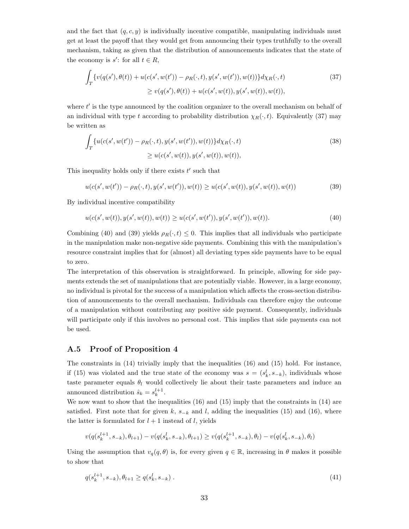and the fact that  $(q, c, y)$  is individually incentive compatible, manipulating individuals must get at least the payoff that they would get from announcing their types truthfully to the overall mechanism, taking as given that the distribution of announcements indicates that the state of the economy is  $s'$ : for all  $t \in R$ ,

$$
\int_{T} \{v(q(s'),\theta(t)) + u(c(s',w(t')) - \rho_R(\cdot,t), y(s',w(t')),w(t))\} d\chi_R(\cdot,t)
$$
\n
$$
\geq v(q(s'),\theta(t)) + u(c(s',w(t)), y(s',w(t)),w(t)),
$$
\n(37)

where  $t'$  is the type announced by the coalition organizer to the overall mechanism on behalf of an individual with type t according to probability distribution  $\chi_R(\cdot, t)$ . Equivalently (37) may be written as

$$
\int_{T} \{u(c(s', w(t')) - \rho_R(\cdot, t), y(s', w(t')), w(t))\} d\chi_R(\cdot, t) \n\geq u(c(s', w(t)), y(s', w(t)), w(t)),
$$
\n(38)

This inequality holds only if there exists  $t'$  such that

 $u(c(s', w(t')) - \rho_R(\cdot, t), y(s', w(t')), w(t)) \ge u(c(s', w(t)), y(s', w(t)), w(t))$  (39)

By individual incentive compatibility

$$
u(c(s', w(t)), y(s', w(t)), w(t)) \ge u(c(s', w(t')), y(s', w(t')), w(t)).
$$
\n(40)

Combining (40) and (39) yields  $\rho_R(\cdot,t) \leq 0$ . This implies that all individuals who participate in the manipulation make non-negative side payments. Combining this with the manipulation's resource constraint implies that for (almost) all deviating types side payments have to be equal to zero.

The interpretation of this observation is straightforward. In principle, allowing for side payments extends the set of manipulations that are potentially viable. However, in a large economy, no individual is pivotal for the success of a manipulation which affects the cross-section distribution of announcements to the overall mechanism. Individuals can therefore enjoy the outcome of a manipulation without contributing any positive side payment. Consequently, individuals will participate only if this involves no personal cost. This implies that side payments can not be used.

#### A.5 Proof of Proposition 4

The constraints in (14) trivially imply that the inequalities (16) and (15) hold. For instance, if (15) was violated and the true state of the economy was  $s = (s_k^l, s_{-k})$ , individuals whose taste parameter equals  $\theta_l$  would collectively lie about their taste parameters and induce an announced distribution  $\hat{s}_k = s_k^{l+1}$ .

We now want to show that the inequalities  $(16)$  and  $(15)$  imply that the constraints in  $(14)$  are satisfied. First note that for given k,  $s_{-k}$  and l, adding the inequalities (15) and (16), where the latter is formulated for  $l + 1$  instead of l, yields

$$
v(q(s_k^{l+1}, s_{-k}), \theta_{l+1}) - v(q(s_k^l, s_{-k}), \theta_{l+1}) \ge v(q(s_k^{l+1}, s_{-k}), \theta_l) - v(q(s_k^l, s_{-k}), \theta_l)
$$

Using the assumption that  $v_q(q, \theta)$  is, for every given  $q \in \mathbb{R}$ , increasing in  $\theta$  makes it possible to show that

$$
q(s_k^{l+1}, s_{-k}), \theta_{l+1} \ge q(s_k^l, s_{-k}) \tag{41}
$$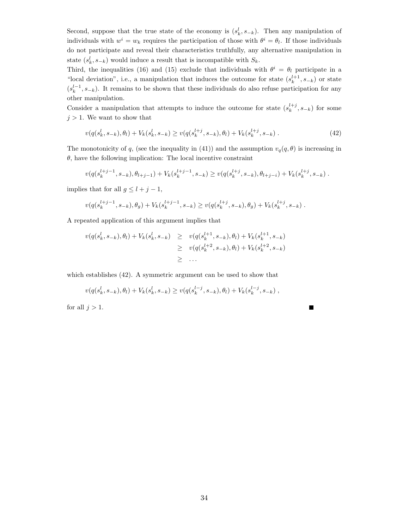Second, suppose that the true state of the economy is  $(s_k^l, s_{-k})$ . Then any manipulation of individuals with  $w^i = w_k$  requires the participation of those with  $\theta^i = \theta_l$ . If those individuals do not participate and reveal their characteristics truthfully, any alternative manipulation in state  $(s_k^l, s_{-k})$  would induce a result that is incompatible with  $S_k$ .

Third, the inequalities (16) and (15) exclude that individuals with  $\theta^i = \theta_l$  participate in a "local deviation", i.e., a manipulation that induces the outcome for state  $(s_k^{l+1}, s_{-k})$  or state  $(s_k^{l-1}, s_{-k})$ . It remains to be shown that these individuals do also refuse participation for any other manipulation.

Consider a manipulation that attempts to induce the outcome for state  $(s_k^{l+j}, s_{-k})$  for some  $j>1.$  We want to show that

$$
v(q(s_k^l, s_{-k}), \theta_l) + V_k(s_k^l, s_{-k}) \ge v(q(s_k^{l+j}, s_{-k}), \theta_l) + V_k(s_k^{l+j}, s_{-k}). \tag{42}
$$

The monotonicity of q, (see the inequality in (41)) and the assumption  $v_q(q, \theta)$  is increasing in  $\theta$ , have the following implication: The local incentive constraint

$$
v(q(s_k^{l+j-1}, s_{-k}), \theta_{l+j-1}) + V_k(s_k^{l+j-1}, s_{-k}) \ge v(q(s_k^{l+j}, s_{-k}), \theta_{l+j-i}) + V_k(s_k^{l+j}, s_{-k}).
$$

E

implies that for all  $g \leq l + j - 1$ ,

$$
v(q(s_k^{l+j-1}, s_{-k}), \theta_g) + V_k(s_k^{l+j-1}, s_{-k}) \ge v(q(s_k^{l+j}, s_{-k}), \theta_g) + V_k(s_k^{l+j}, s_{-k}).
$$

A repeated application of this argument implies that

$$
v(q(s_k^l, s_{-k}), \theta_l) + V_k(s_k^l, s_{-k}) \geq v(q(s_k^{l+1}, s_{-k}), \theta_l) + V_k(s_k^{l+1}, s_{-k})
$$
  
 
$$
\geq v(q(s_k^{l+2}, s_{-k}), \theta_l) + V_k(s_k^{l+2}, s_{-k})
$$
  
 
$$
\geq ...
$$

which establishes (42). A symmetric argument can be used to show that

$$
v(q(s_k^l, s_{-k}), \theta_l) + V_k(s_k^l, s_{-k}) \ge v(q(s_k^{l-j}, s_{-k}), \theta_l) + V_k(s_k^{l-j}, s_{-k}),
$$

for all  $j > 1$ .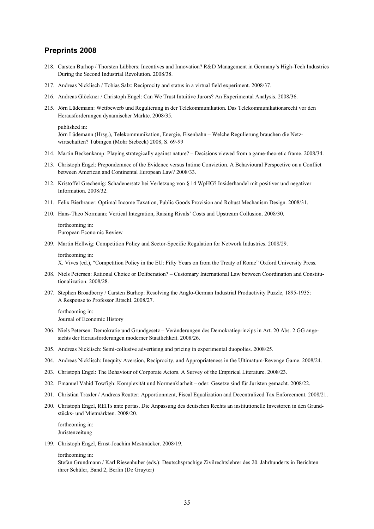### **Preprints 2008**

- 218. Carsten Burhop / Thorsten Lübbers: Incentives and Innovation? R&D Management in Germany's High-Tech Industries During the Second Industrial Revolution. 2008/38.
- 217. Andreas Nicklisch / Tobias Salz: Reciprocity and status in a virtual field experiment. 2008/37.
- 216. Andreas Glöckner / Christoph Engel: Can We Trust Intuitive Jurors? An Experimental Analysis. 2008/36.
- 215. Jörn Lüdemann: Wettbewerb und Regulierung in der Telekommunikation. Das Telekommunikationsrecht vor den Herausforderungen dynamischer Märkte. 2008/35.

published in:

Jörn Lüdemann (Hrsg.), Telekommunikation, Energie, Eisenbahn – Welche Regulierung brauchen die Netzwirtschaften? Tübingen (Mohr Siebeck) 2008, S. 69-99

- 214. Martin Beckenkamp: Playing strategically against nature? Decisions viewed from a game-theoretic frame. 2008/34.
- 213. Christoph Engel: Preponderance of the Evidence versus Intime Conviction. A Behavioural Perspective on a Conflict between American and Continental European Law? 2008/33.
- 212. Kristoffel Grechenig: Schadenersatz bei Verletzung von § 14 WpHG? Insiderhandel mit positiver und negativer Information. 2008/32.
- 211. Felix Bierbrauer: Optimal Income Taxation, Public Goods Provision and Robust Mechanism Design. 2008/31.
- 210. Hans-Theo Normann: Vertical Integration, Raising Rivals' Costs and Upstream Collusion. 2008/30.

 forthcoming in: European Economic Review

- 209. Martin Hellwig: Competition Policy and Sector-Specific Regulation for Network Industries. 2008/29.
	- forthcoming in:

X. Vives (ed.), "Competition Policy in the EU: Fifty Years on from the Treaty of Rome" Oxford University Press.

- 208. Niels Petersen: Rational Choice or Deliberation? Customary International Law between Coordination and Constitutionalization. 2008/28.
- 207. Stephen Broadberry / Carsten Burhop: Resolving the Anglo-German Industrial Productivity Puzzle, 1895-1935: A Response to Professor Ritschl. 2008/27.
	- forthcoming in: Journal of Economic History
- 206. Niels Petersen: Demokratie und Grundgesetz Veränderungen des Demokratieprinzips in Art. 20 Abs. 2 GG angesichts der Herausforderungen moderner Staatlichkeit. 2008/26.
- 205. Andreas Nicklisch: Semi-collusive advertising and pricing in experimental duopolies. 2008/25.
- 204. Andreas Nicklisch: Inequity Aversion, Reciprocity, and Appropriateness in the Ultimatum-Revenge Game. 2008/24.
- 203. Christoph Engel: The Behaviour of Corporate Actors. A Survey of the Empirical Literature. 2008/23.
- 202. Emanuel Vahid Towfigh: Komplexität und Normenklarheit oder: Gesetze sind für Juristen gemacht. 2008/22.
- 201. Christian Traxler / Andreas Reutter: Apportionment, Fiscal Equalization and Decentralized Tax Enforcement. 2008/21.
- 200. Christoph Engel, REITs ante portas. Die Anpassung des deutschen Rechts an institutionelle Investoren in den Grundstücks- und Mietmärkten. 2008/20.

 forthcoming in: Juristenzeitung

199. Christoph Engel, Ernst-Joachim Mestmäcker. 2008/19.

forthcoming in:

Stefan Grundmann / Karl Riesenhuber (eds.): Deutschsprachige Zivilrechtslehrer des 20. Jahrhunderts in Berichten ihrer Schüler, Band 2, Berlin (De Gruyter)